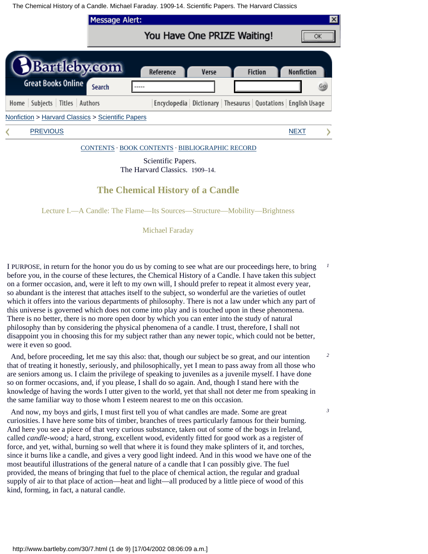## **The Chemical History of a Candle**

<span id="page-0-1"></span>Lecture I.—A Candle: The Flame—Its Sources—Structure—Mobility—Brightness

## Michael Faraday

I PURPOSE, in return for the honor you do us by coming to see what are our proceedings here, to bring before you, in the course of these lectures, the Chemical History of a Candle. I have taken this subject on a former occasion, and, were it left to my own will, I should prefer to repeat it almost every year, so abundant is the interest that attaches itself to the subject, so wonderful are the varieties of outlet which it offers into the various departments of philosophy. There is not a law under which any part of this universe is governed which does not come into play and is touched upon in these phenomena. There is no better, there is no more open door by which you can enter into the study of natural philosophy than by considering the physical phenomena of a candle. I trust, therefore, I shall not disappoint you in choosing this for my subject rather than any newer topic, which could not be better, were it even so good.

 And, before proceeding, let me say this also: that, though our subject be so great, and our intention that of treating it honestly, seriously, and philosophically, yet I mean to pass away from all those who are seniors among us. I claim the privilege of speaking to juveniles as a juvenile myself. I have done so on former occasions, and, if you please, I shall do so again. And, though I stand here with the knowledge of having the words I utter given to the world, yet that shall not deter me from speaking in the same familiar way to those whom I esteem nearest to me on this occasion.

<span id="page-0-0"></span> And now, my boys and girls, I must first tell you of what candles are made. Some are great curiosities. I have here some bits of timber, branches of trees particularly famous for their burning. And here you see a piece of that very curious substance, taken out of some of the bogs in Ireland, called *candle-wood;* a hard, strong, excellent wood, evidently fitted for good work as a register of force, and yet, withal, burning so well that where it is found they make splinters of it, and torches, since it burns like a candle, and gives a very good light indeed. And in this wood we have one of the most beautiful illustrations of the general nature of a candle that I can possibly give. The fuel provided, the means of bringing that fuel to the place of chemical action, the regular and gradual supply of air to that place of action—heat and light—all produced by a little piece of wood of this kind, forming, in fact, a natural candle. The Chemical History of a<br>
Lecture I.—A Candle: The Flame—Its Sources—Struce<br>
Michael Faraday<br>
Michael Faraday<br>
Michael Faraday<br>
HTRPOSE, in return for the honor you do us by coming to see whe<br>
force you, in the course of

 *2*

 *3*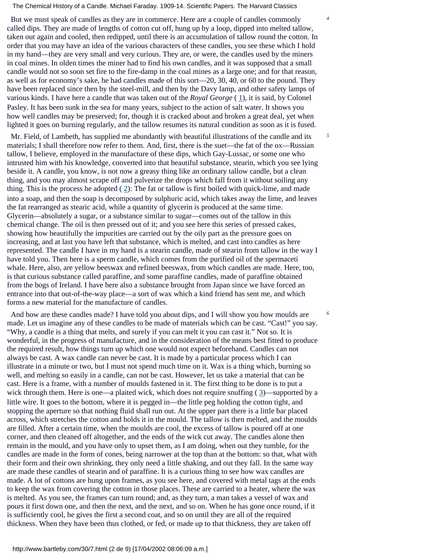But we must speak of candles as they are in commerce. Here are a couple of candles commonly called dips. They are made of lengths of cotton cut off, hung up by a loop, dipped into melted tallow, taken out again and cooled, then redipped, until there is an accumulation of tallow round the cotton. In order that you may have an idea of the various characters of these candles, you see these which I hold in my hand—they are very small and very curious. They are, or were, the candles used by the miners in coal mines. In olden times the miner had to find his own candles, and it was supposed that a small candle would not so soon set fire to the fire-damp in the coal mines as a large one; and for that reason, as well as for economy's sake, he had candles made of this sort—20, 30, 40, or 60 to the pound. They have been replaced since then by the steel-mill, and then by the Davy lamp, and other safety lamps of various kinds. I have here a candle that was taken out of the *Royal George* ([1](#page-7-0)), it is said, by Colonel Pasley. It has been sunk in the sea for many years, subject to the action of salt water. It shows you how well candles may be preserved; for, though it is cracked about and broken a great deal, yet when lighted it goes on burning regularly, and the tallow resumes its natural condition as soon as it is fused.

<span id="page-1-1"></span><span id="page-1-0"></span> Mr. Field, of Lambeth, has supplied me abundantly with beautiful illustrations of the candle and its materials; I shall therefore now refer to them. And, first, there is the suet—the fat of the ox—Russian tallow, I believe, employed in the manufacture of these dips, which Gay-Lussac, or some one who intrusted him with his knowledge, converted into that beautiful substance, stearin, which you see lying beside it. A candle, you know, is not now a greasy thing like an ordinary tallow candle, but a clean thing, and you may almost scrape off and pulverize the drops which fall from it without soiling any thing. This is the process he adopted ( [2\)](#page-7-1): The fat or tallow is first boiled with quick-lime, and made into a soap, and then the soap is decomposed by sulphuric acid, which takes away the lime, and leaves the fat rearranged as stearic acid, while a quantity of glycerin is produced at the same time. Glycerin—absolutely a sugar, or a substance similar to sugar—comes out of the tallow in this chemical change. The oil is then pressed out of it; and you see here this series of pressed cakes, showing how beautifully the impurities are carried out by the oily part as the pressure goes on increasing, and at last you have left that substance, which is melted, and cast into candles as here represented. The candle I have in my hand is a stearin candle, made of stearin from tallow in the way I have told you. Then here is a sperm candle, which comes from the purified oil of the spermaceti whale. Here, also, are yellow beeswax and refined beeswax, from which candles are made. Here, too, is that curious substance called paraffine, and some paraffine candles, made of paraffine obtained from the bogs of Ireland. I have here also a substance brought from Japan since we have forced an entrance into that out-of-the-way place—a sort of wax which a kind friend has sent me, and which forms a new material for the manufacture of candles.

<span id="page-1-2"></span> And how are these candles made? I have told you about dips, and I will show you how moulds are made. Let us imagine any of these candles to be made of materials which can be cast. "Cast!" you say. "Why, a candle is a thing that melts, and surely if you can melt it you can cast it." Not so. It is wonderful, in the progress of manufacture, and in the consideration of the means best fitted to produce the required result, how things turn up which one would not expect beforehand. Candles can not always be cast. A wax candle can never be cast. It is made by a particular process which I can illustrate in a minute or two, but I must not spend much time on it. Wax is a thing which, burning so well, and melting so easily in a candle, can not be cast. However, let us take a material that can be cast. Here is a frame, with a number of moulds fastened in it. The first thing to be done is to put a wick through them. Here is one—a plaited wick, which does not require snuffing ([3](#page-7-2))—supported by a little wire. It goes to the bottom, where it is pegged in—the little peg holding the cotton tight, and stopping the aperture so that nothing fluid shall run out. At the upper part there is a little bar placed across, which stretches the cotton and holds it in the mould. The tallow is then melted, and the moulds are filled. After a certain time, when the moulds are cool, the excess of tallow is poured off at one corner, and then cleaned off altogether, and the ends of the wick cut away. The candles alone then remain in the mould, and you have only to upset them, as I am doing, when out they tumble, for the candles are made in the form of cones, being narrower at the top than at the bottom: so that, what with their form and their own shrinking, they only need a little shaking, and out they fall. In the same way are made these candles of stearin and of paraffine. It is a curious thing to see how wax candles are made. A lot of cottons are hung upon frames, as you see here, and covered with metal tags at the ends to keep the wax from covering the cotton in those places. These are carried to a heater, where the wax is melted. As you see, the frames can turn round; and, as they turn, a man takes a vessel of wax and pours it first down one, and then the next, and the next, and so on. When he has gone once round, if it is sufficiently cool, he gives the first a second coat, and so on until they are all of the required thickness. When they have been thus clothed, or fed, or made up to that thickness, they are taken off

 *5*

 *4*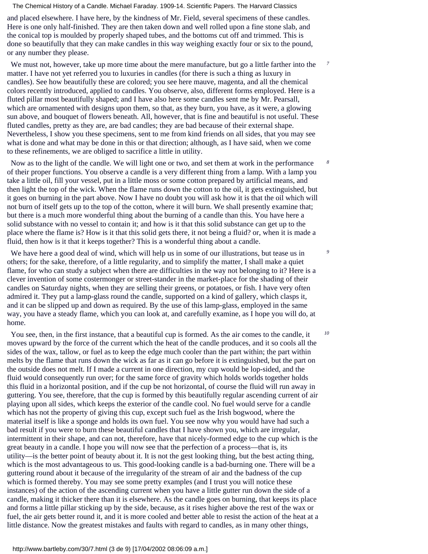and placed elsewhere. I have here, by the kindness of Mr. Field, several specimens of these candles. Here is one only half-finished. They are then taken down and well rolled upon a fine stone slab, and the conical top is moulded by properly shaped tubes, and the bottoms cut off and trimmed. This is done so beautifully that they can make candles in this way weighing exactly four or six to the pound, or any number they please.

We must not, however, take up more time about the mere manufacture, but go a little farther into the matter. I have not yet referred you to luxuries in candles (for there is such a thing as luxury in candles). See how beautifully these are colored; you see here mauve, magenta, and all the chemical colors recently introduced, applied to candles. You observe, also, different forms employed. Here is a fluted pillar most beautifully shaped; and I have also here some candles sent me by Mr. Pearsall, which are ornamented with designs upon them, so that, as they burn, you have, as it were, a glowing sun above, and bouquet of flowers beneath. All, however, that is fine and beautiful is not useful. These fluted candles, pretty as they are, are bad candles; they are bad because of their external shape. Nevertheless, I show you these specimens, sent to me from kind friends on all sides, that you may see what is done and what may be done in this or that direction; although, as I have said, when we come to these refinements, we are obliged to sacrifice a little in utility.

 Now as to the light of the candle. We will light one or two, and set them at work in the performance of their proper functions. You observe a candle is a very different thing from a lamp. With a lamp you take a little oil, fill your vessel, put in a little moss or some cotton prepared by artificial means, and then light the top of the wick. When the flame runs down the cotton to the oil, it gets extinguished, but it goes on burning in the part above. Now I have no doubt you will ask how it is that the oil which will not burn of itself gets up to the top of the cotton, where it will burn. We shall presently examine that; but there is a much more wonderful thing about the burning of a candle than this. You have here a solid substance with no vessel to contain it; and how is it that this solid substance can get up to the place where the flame is? How is it that this solid gets there, it not being a fluid? or, when it is made a fluid, then how is it that it keeps together? This is a wonderful thing about a candle.

 We have here a good deal of wind, which will help us in some of our illustrations, but tease us in others; for the sake, therefore, of a little regularity, and to simplify the matter, I shall make a quiet flame, for who can study a subject when there are difficulties in the way not belonging to it? Here is a clever invention of some costermonger or street-stander in the market-place for the shading of their candles on Saturday nights, when they are selling their greens, or potatoes, or fish. I have very often admired it. They put a lamp-glass round the candle, supported on a kind of gallery, which clasps it, and it can be slipped up and down as required. By the use of this lamp-glass, employed in the same way, you have a steady flame, which you can look at, and carefully examine, as I hope you will do, at home.

 You see, then, in the first instance, that a beautiful cup is formed. As the air comes to the candle, it moves upward by the force of the current which the heat of the candle produces, and it so cools all the sides of the wax, tallow, or fuel as to keep the edge much cooler than the part within; the part within melts by the flame that runs down the wick as far as it can go before it is extinguished, but the part on the outside does not melt. If I made a current in one direction, my cup would be lop-sided, and the fluid would consequently run over; for the same force of gravity which holds worlds together holds this fluid in a horizontal position, and if the cup be not horizontal, of course the fluid will run away in guttering. You see, therefore, that the cup is formed by this beautifully regular ascending current of air playing upon all sides, which keeps the exterior of the candle cool. No fuel would serve for a candle which has not the property of giving this cup, except such fuel as the Irish bogwood, where the material itself is like a sponge and holds its own fuel. You see now why you would have had such a bad result if you were to burn these beautiful candles that I have shown you, which are irregular, intermittent in their shape, and can not, therefore, have that nicely-formed edge to the cup which is the great beauty in a candle. I hope you will now see that the perfection of a process—that is, its utility—is the better point of beauty about it. It is not the gest looking thing, but the best acting thing, which is the most advantageous to us. This good-looking candle is a bad-burning one. There will be a guttering round about it because of the irregularity of the stream of air and the badness of the cup which is formed thereby. You may see some pretty examples (and I trust you will notice these instances) of the action of the ascending current when you have a little gutter run down the side of a candle, making it thicker there than it is elsewhere. As the candle goes on burning, that keeps its place and forms a little pillar sticking up by the side, because, as it rises higher above the rest of the wax or fuel, the air gets better round it, and it is more cooled and better able to resist the action of the heat at a little distance. Now the greatest mistakes and faults with regard to candles, as in many other things,

 *10*

 *9*

 *7*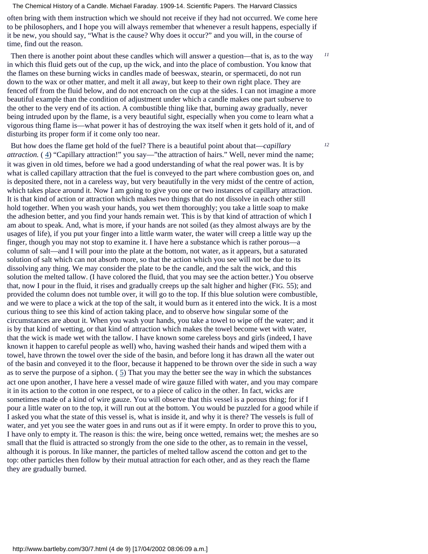often bring with them instruction which we should not receive if they had not occurred. We come here to be philosophers, and I hope you will always remember that whenever a result happens, especially if it be new, you should say, "What is the cause? Why does it occur?" and you will, in the course of time, find out the reason.

 *11*

 *12*

Then there is another point about these candles which will answer a question—that is, as to the way in which this fluid gets out of the cup, up the wick, and into the place of combustion. You know that the flames on these burning wicks in candles made of beeswax, stearin, or spermaceti, do not run down to the wax or other matter, and melt it all away, but keep to their own right place. They are fenced off from the fluid below, and do not encroach on the cup at the sides. I can not imagine a more beautiful example than the condition of adjustment under which a candle makes one part subserve to the other to the very end of its action. A combustible thing like that, burning away gradually, never being intruded upon by the flame, is a very beautiful sight, especially when you come to learn what a vigorous thing flame is—what power it has of destroying the wax itself when it gets hold of it, and of disturbing its proper form if it come only too near.

<span id="page-3-1"></span><span id="page-3-0"></span> But how does the flame get hold of the fuel? There is a beautiful point about that—*capillary attraction.* ( [4](#page-8-0)) "Capillary attraction!" you say—"the attraction of hairs." Well, never mind the name; it was given in old times, before we had a good understanding of what the real power was. It is by what is called capillary attraction that the fuel is conveyed to the part where combustion goes on, and is deposited there, not in a careless way, but very beautifully in the very midst of the centre of action, which takes place around it. Now I am going to give you one or two instances of capillary attraction. It is that kind of action or attraction which makes two things that do not dissolve in each other still hold together. When you wash your hands, you wet them thoroughly; you take a little soap to make the adhesion better, and you find your hands remain wet. This is by that kind of attraction of which I am about to speak. And, what is more, if your hands are not soiled (as they almost always are by the usages of life), if you put your finger into a little warm water, the water will creep a little way up the finger, though you may not stop to examine it. I have here a substance which is rather porous—a column of salt—and I will pour into the plate at the bottom, not water, as it appears, but a saturated solution of salt which can not absorb more, so that the action which you see will not be due to its dissolving any thing. We may consider the plate to be the candle, and the salt the wick, and this solution the melted tallow. (I have colored the fluid, that you may see the action better.) You observe that, now I pour in the fluid, it rises and gradually creeps up the salt higher and higher (FIG. 55); and provided the column does not tumble over, it will go to the top. If this blue solution were combustible, and we were to place a wick at the top of the salt, it would burn as it entered into the wick. It is a most curious thing to see this kind of action taking place, and to observe how singular some of the circumstances are about it. When you wash your hands, you take a towel to wipe off the water; and it is by that kind of wetting, or that kind of attraction which makes the towel become wet with water, that the wick is made wet with the tallow. I have known some careless boys and girls (indeed, I have known it happen to careful people as well) who, having washed their hands and wiped them with a towel, have thrown the towel over the side of the basin, and before long it has drawn all the water out of the basin and conveyed it to the floor, because it happened to be thrown over the side in such a way as to serve the purpose of a siphon.  $(5)$  $(5)$  That you may the better see the way in which the substances act one upon another, I have here a vessel made of wire gauze filled with water, and you may compare it in its action to the cotton in one respect, or to a piece of calico in the other. In fact, wicks are sometimes made of a kind of wire gauze. You will observe that this vessel is a porous thing; for if I pour a little water on to the top, it will run out at the bottom. You would be puzzled for a good while if I asked you what the state of this vessel is, what is inside it, and why it is there? The vessels is full of water, and yet you see the water goes in and runs out as if it were empty. In order to prove this to you, I have only to empty it. The reason is this: the wire, being once wetted, remains wet; the meshes are so small that the fluid is attracted so strongly from the one side to the other, as to remain in the vessel, although it is porous. In like manner, the particles of melted tallow ascend the cotton and get to the top: other particles then follow by their mutual attraction for each other, and as they reach the flame they are gradually burned.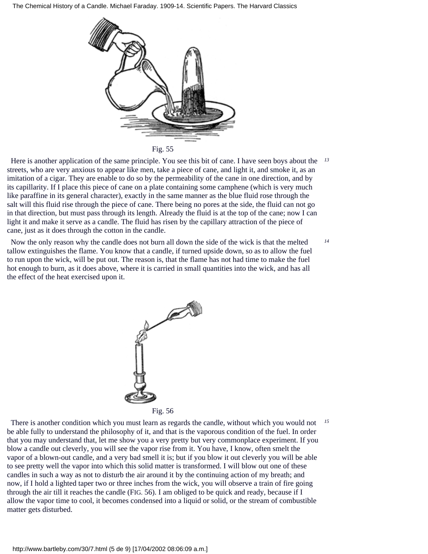

 Here is another application of the same principle. You see this bit of cane. I have seen boys about the streets, who are very anxious to appear like men, take a piece of cane, and light it, and smoke it, as an imitation of a cigar. They are enable to do so by the permeability of the cane in one direction, and by its capillarity. If I place this piece of cane on a plate containing some camphene (which is very much like paraffine in its general character), exactly in the same manner as the blue fluid rose through the salt will this fluid rise through the piece of cane. There being no pores at the side, the fluid can not go in that direction, but must pass through its length. Already the fluid is at the top of the cane; now I can light it and make it serve as a candle. The fluid has risen by the capillary attraction of the piece of cane, just as it does through the cotton in the candle.  *13*

 Now the only reason why the candle does not burn all down the side of the wick is that the melted tallow extinguishes the flame. You know that a candle, if turned upside down, so as to allow the fuel to run upon the wick, will be put out. The reason is, that the flame has not had time to make the fuel hot enough to burn, as it does above, where it is carried in small quantities into the wick, and has all the effect of the heat exercised upon it.

 *14*



Fig. 56

 There is another condition which you must learn as regards the candle, without which you would not be able fully to understand the philosophy of it, and that is the vaporous condition of the fuel. In order that you may understand that, let me show you a very pretty but very commonplace experiment. If you blow a candle out cleverly, you will see the vapor rise from it. You have, I know, often smelt the vapor of a blown-out candle, and a very bad smell it is; but if you blow it out cleverly you will be able to see pretty well the vapor into which this solid matter is transformed. I will blow out one of these candles in such a way as not to disturb the air around it by the continuing action of my breath; and now, if I hold a lighted taper two or three inches from the wick, you will observe a train of fire going through the air till it reaches the candle (FIG. 56). I am obliged to be quick and ready, because if I allow the vapor time to cool, it becomes condensed into a liquid or solid, or the stream of combustible matter gets disturbed.  *15*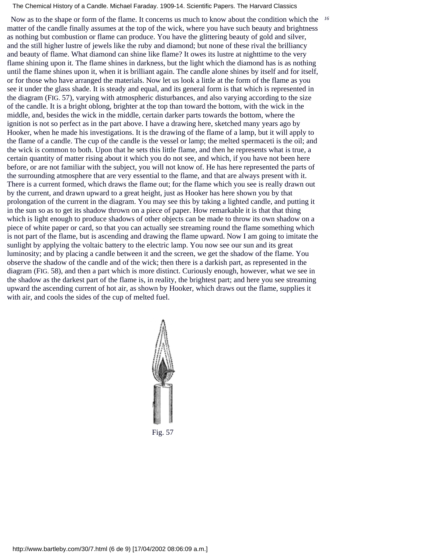Now as to the shape or form of the flame. It concerns us much to know about the condition which the  *16* matter of the candle finally assumes at the top of the wick, where you have such beauty and brightness as nothing but combustion or flame can produce. You have the glittering beauty of gold and silver, and the still higher lustre of jewels like the ruby and diamond; but none of these rival the brilliancy and beauty of flame. What diamond can shine like flame? It owes its lustre at nighttime to the very flame shining upon it. The flame shines in darkness, but the light which the diamond has is as nothing until the flame shines upon it, when it is brilliant again. The candle alone shines by itself and for itself, or for those who have arranged the materials. Now let us look a little at the form of the flame as you see it under the glass shade. It is steady and equal, and its general form is that which is represented in the diagram (FIG. 57), varying with atmospheric disturbances, and also varying according to the size of the candle. It is a bright oblong, brighter at the top than toward the bottom, with the wick in the middle, and, besides the wick in the middle, certain darker parts towards the bottom, where the ignition is not so perfect as in the part above. I have a drawing here, sketched many years ago by Hooker, when he made his investigations. It is the drawing of the flame of a lamp, but it will apply to the flame of a candle. The cup of the candle is the vessel or lamp; the melted spermaceti is the oil; and the wick is common to both. Upon that he sets this little flame, and then he represents what is true, a certain quantity of matter rising about it which you do not see, and which, if you have not been here before, or are not familiar with the subject, you will not know of. He has here represented the parts of the surrounding atmosphere that are very essential to the flame, and that are always present with it. There is a current formed, which draws the flame out; for the flame which you see is really drawn out by the current, and drawn upward to a great height, just as Hooker has here shown you by that prolongation of the current in the diagram. You may see this by taking a lighted candle, and putting it in the sun so as to get its shadow thrown on a piece of paper. How remarkable it is that that thing which is light enough to produce shadows of other objects can be made to throw its own shadow on a piece of white paper or card, so that you can actually see streaming round the flame something which is not part of the flame, but is ascending and drawing the flame upward. Now I am going to imitate the sunlight by applying the voltaic battery to the electric lamp. You now see our sun and its great luminosity; and by placing a candle between it and the screen, we get the shadow of the flame. You observe the shadow of the candle and of the wick; then there is a darkish part, as represented in the diagram (FIG. 58), and then a part which is more distinct. Curiously enough, however, what we see in the shadow as the darkest part of the flame is, in reality, the brightest part; and here you see streaming upward the ascending current of hot air, as shown by Hooker, which draws out the flame, supplies it with air, and cools the sides of the cup of melted fuel.



Fig. 57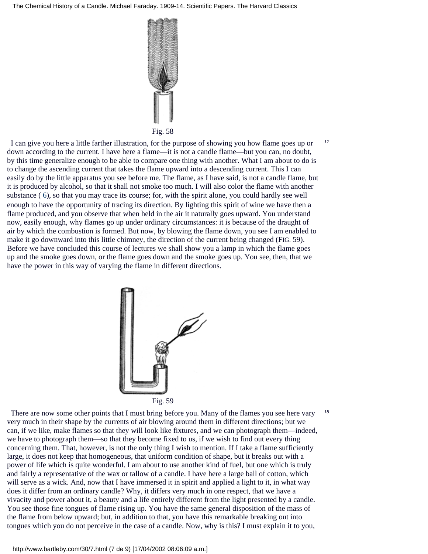

 *17*

 *18*

<span id="page-6-0"></span> I can give you here a little farther illustration, for the purpose of showing you how flame goes up or down according to the current. I have here a flame—it is not a candle flame—but you can, no doubt, by this time generalize enough to be able to compare one thing with another. What I am about to do is to change the ascending current that takes the flame upward into a descending current. This I can easily do by the little apparatus you see before me. The flame, as I have said, is not a candle flame, but it is produced by alcohol, so that it shall not smoke too much. I will also color the flame with another substance ( [6\)](#page-8-2), so that you may trace its course; for, with the spirit alone, you could hardly see well enough to have the opportunity of tracing its direction. By lighting this spirit of wine we have then a flame produced, and you observe that when held in the air it naturally goes upward. You understand now, easily enough, why flames go up under ordinary circumstances: it is because of the draught of air by which the combustion is formed. But now, by blowing the flame down, you see I am enabled to make it go downward into this little chimney, the direction of the current being changed (FIG. 59). Before we have concluded this course of lectures we shall show you a lamp in which the flame goes up and the smoke goes down, or the flame goes down and the smoke goes up. You see, then, that we have the power in this way of varying the flame in different directions.



 There are now some other points that I must bring before you. Many of the flames you see here vary very much in their shape by the currents of air blowing around them in different directions; but we can, if we like, make flames so that they will look like fixtures, and we can photograph them—indeed, we have to photograph them—so that they become fixed to us, if we wish to find out every thing concerning them. That, however, is not the only thing I wish to mention. If I take a flame sufficiently large, it does not keep that homogeneous, that uniform condition of shape, but it breaks out with a power of life which is quite wonderful. I am about to use another kind of fuel, but one which is truly and fairly a representative of the wax or tallow of a candle. I have here a large ball of cotton, which will serve as a wick. And, now that I have immersed it in spirit and applied a light to it, in what way does it differ from an ordinary candle? Why, it differs very much in one respect, that we have a vivacity and power about it, a beauty and a life entirely different from the light presented by a candle. You see those fine tongues of flame rising up. You have the same general disposition of the mass of the flame from below upward; but, in addition to that, you have this remarkable breaking out into tongues which you do not perceive in the case of a candle. Now, why is this? I must explain it to you,

http://www.bartleby.com/30/7.html (7 de 9) [17/04/2002 08:06:09 a.m.]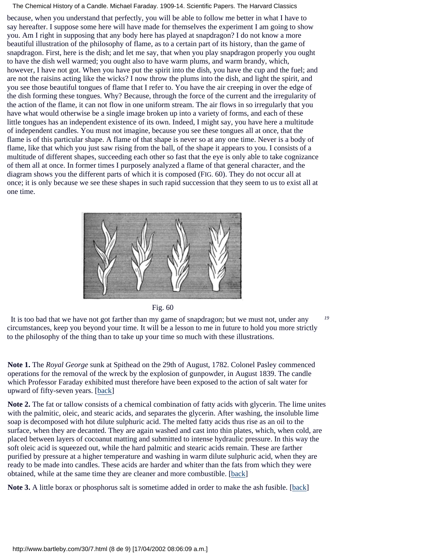because, when you understand that perfectly, you will be able to follow me better in what I have to say hereafter. I suppose some here will have made for themselves the experiment I am going to show you. Am I right in supposing that any body here has played at snapdragon? I do not know a more beautiful illustration of the philosophy of flame, as to a certain part of its history, than the game of snapdragon. First, here is the dish; and let me say, that when you play snapdragon properly you ought to have the dish well warmed; you ought also to have warm plums, and warm brandy, which, however, I have not got. When you have put the spirit into the dish, you have the cup and the fuel; and are not the raisins acting like the wicks? I now throw the plums into the dish, and light the spirit, and you see those beautiful tongues of flame that I refer to. You have the air creeping in over the edge of the dish forming these tongues. Why? Because, through the force of the current and the irregularity of the action of the flame, it can not flow in one uniform stream. The air flows in so irregularly that you have what would otherwise be a single image broken up into a variety of forms, and each of these little tongues has an independent existence of its own. Indeed, I might say, you have here a multitude of independent candles. You must not imagine, because you see these tongues all at once, that the flame is of this particular shape. A flame of that shape is never so at any one time. Never is a body of flame, like that which you just saw rising from the ball, of the shape it appears to you. I consists of a multitude of different shapes, succeeding each other so fast that the eye is only able to take cognizance of them all at once. In former times I purposely analyzed a flame of that general character, and the diagram shows you the different parts of which it is composed (FIG. 60). They do not occur all at once; it is only because we see these shapes in such rapid succession that they seem to us to exist all at one time.



Fig. 60

 It is too bad that we have not got farther than my game of snapdragon; but we must not, under any circumstances, keep you beyond your time. It will be a lesson to me in future to hold you more strictly to the philosophy of the thing than to take up your time so much with these illustrations.

 *19*

<span id="page-7-0"></span>**Note 1.** The *Royal George* sunk at Spithead on the 29th of August, 1782. Colonel Pasley commenced operations for the removal of the wreck by the explosion of gunpowder, in August 1839. The candle which Professor Faraday exhibited must therefore have been exposed to the action of salt water for upward of fifty-seven years. [\[back\]](#page-1-0)

<span id="page-7-1"></span>**Note 2.** The fat or tallow consists of a chemical combination of fatty acids with glycerin. The lime unites with the palmitic, oleic, and stearic acids, and separates the glycerin. After washing, the insoluble lime soap is decomposed with hot dilute sulphuric acid. The melted fatty acids thus rise as an oil to the surface, when they are decanted. They are again washed and cast into thin plates, which, when cold, are placed between layers of cocoanut matting and submitted to intense hydraulic pressure. In this way the soft oleic acid is squeezed out, while the hard palmitic and stearic acids remain. These are farther purified by pressure at a higher temperature and washing in warm dilute sulphuric acid, when they are ready to be made into candles. These acids are harder and whiter than the fats from which they were obtained, while at the same time they are cleaner and more combustible. [[back](#page-1-1)]

<span id="page-7-2"></span>**Note 3.** A little borax or phosphorus salt is sometime added in order to make the ash fusible. [\[back\]](#page-1-2)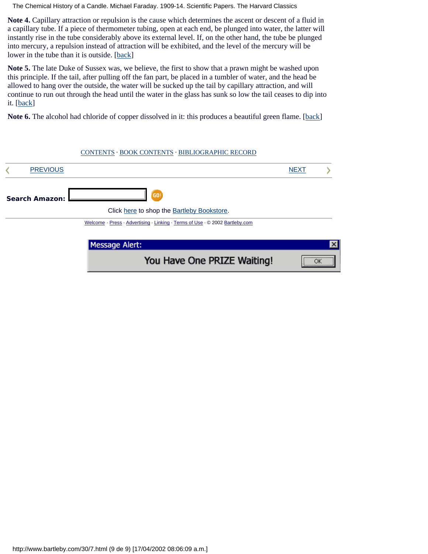<span id="page-8-0"></span>**Note 4.** Capillary attraction or repulsion is the cause which determines the ascent or descent of a fluid in a capillary tube. If a piece of thermometer tubing, open at each end, be plunged into water, the latter will instantly rise in the tube considerably above its external level. If, on the other hand, the tube be plunged into mercury, a repulsion instead of attraction will be exhibited, and the level of the mercury will be lower in the tube than it is outside. [\[back\]](#page-3-0)

<span id="page-8-1"></span>**Note 5.** The late Duke of Sussex was, we believe, the first to show that a prawn might be washed upon this principle. If the tail, after pulling off the fan part, be placed in a tumbler of water, and the head be allowed to hang over the outside, the water will be sucked up the tail by capillary attraction, and will continue to run out through the head until the water in the glass has sunk so low the tail ceases to dip into it. [[back](#page-3-1)]

<span id="page-8-2"></span>**Note 6.** The alcohol had chloride of copper dissolved in it: this produces a beautiful green flame. [\[back\]](#page-6-0)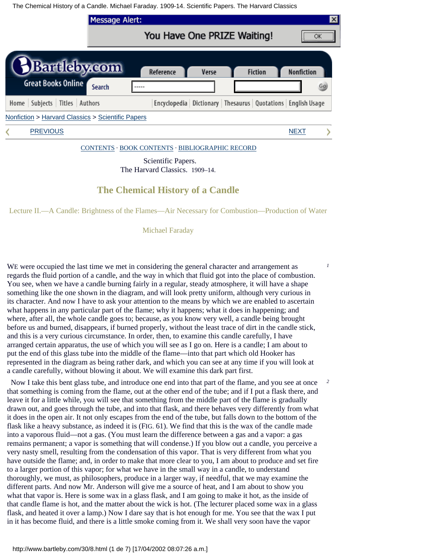## <span id="page-9-1"></span>Lecture II.—A Candle: Brightness of the Flames—Air Necessary for Combustion—Production of Water

**The Chemical History of a Candle**

## Michael Faraday

 *1*

 *2*

WE were occupied the last time we met in considering the general character and arrangement as regards the fluid portion of a candle, and the way in which that fluid got into the place of combustion. You see, when we have a candle burning fairly in a regular, steady atmosphere, it will have a shape something like the one shown in the diagram, and will look pretty uniform, although very curious in its character. And now I have to ask your attention to the means by which we are enabled to ascertain what happens in any particular part of the flame; why it happens; what it does in happening; and where, after all, the whole candle goes to; because, as you know very well, a candle being brought before us and burned, disappears, if burned properly, without the least trace of dirt in the candle stick, and this is a very curious circumstance. In order, then, to examine this candle carefully, I have arranged certain apparatus, the use of which you will see as I go on. Here is a candle; I am about to put the end of this glass tube into the middle of the flame—into that part which old Hooker has represented in the diagram as being rather dark, and which you can see at any time if you will look at a candle carefully, without blowing it about. We will examine this dark part first.

<span id="page-9-2"></span><span id="page-9-0"></span> Now I take this bent glass tube, and introduce one end into that part of the flame, and you see at once that something is coming from the flame, out at the other end of the tube; and if I put a flask there, and leave it for a little while, you will see that something from the middle part of the flame is gradually drawn out, and goes through the tube, and into that flask, and there behaves very differently from what it does in the open air. It not only escapes from the end of the tube, but falls down to the bottom of the flask like a heavy substance, as indeed it is (FIG. 61). We find that this is the wax of the candle made into a vaporous fluid—not a gas. (You must learn the difference between a gas and a vapor: a gas remains permanent; a vapor is something that will condense.) If you blow out a candle, you perceive a very nasty smell, resulting from the condensation of this vapor. That is very different from what you have outside the flame; and, in order to make that more clear to you, I am about to produce and set fire to a larger portion of this vapor; for what we have in the small way in a candle, to understand thoroughly, we must, as philosophers, produce in a larger way, if needful, that we may examine the different parts. And now Mr. Anderson will give me a source of heat, and I am about to show you what that vapor is. Here is some wax in a glass flask, and I am going to make it hot, as the inside of that candle flame is hot, and the matter about the wick is hot. (The lecturer placed some wax in a glass flask, and heated it over a lamp.) Now I dare say that is hot enough for me. You see that the wax I put in it has become fluid, and there is a little smoke coming from it. We shall very soon have the vapor ceture II.—A Candle: Brightness of the Flames—Air Necessary<br>Michael Faraday<br>Michael Faraday<br>Michael Faraday<br>Michael Faraday<br>ands the fluid portion of a candle, and the way in which that flu<br>parasits the fluid portion of a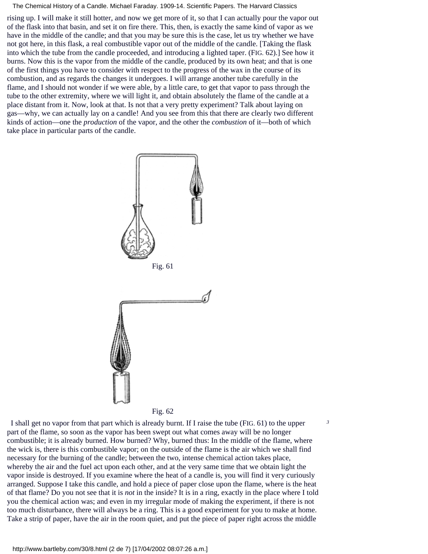rising up. I will make it still hotter, and now we get more of it, so that I can actually pour the vapor out of the flask into that basin, and set it on fire there. This, then, is exactly the same kind of vapor as we have in the middle of the candle; and that you may be sure this is the case, let us try whether we have not got here, in this flask, a real combustible vapor out of the middle of the candle. [Taking the flask into which the tube from the candle proceeded, and introducing a lighted taper. (FIG. 62).] See how it burns. Now this is the vapor from the middle of the candle, produced by its own heat; and that is one of the first things you have to consider with respect to the progress of the wax in the course of its combustion, and as regards the changes it undergoes. I will arrange another tube carefully in the flame, and I should not wonder if we were able, by a little care, to get that vapor to pass through the tube to the other extremity, where we will light it, and obtain absolutely the flame of the candle at a place distant from it. Now, look at that. Is not that a very pretty experiment? Talk about laying on gas—why, we can actually lay on a candle! And you see from this that there are clearly two different kinds of action—one the *production* of the vapor, and the other the *combustion* of it—both of which take place in particular parts of the candle.







Fig. 62

 *3*

 I shall get no vapor from that part which is already burnt. If I raise the tube (FIG. 61) to the upper part of the flame, so soon as the vapor has been swept out what comes away will be no longer combustible; it is already burned. How burned? Why, burned thus: In the middle of the flame, where the wick is, there is this combustible vapor; on the outside of the flame is the air which we shall find necessary for the burning of the candle; between the two, intense chemical action takes place, whereby the air and the fuel act upon each other, and at the very same time that we obtain light the vapor inside is destroyed. If you examine where the heat of a candle is, you will find it very curiously arranged. Suppose I take this candle, and hold a piece of paper close upon the flame, where is the heat of that flame? Do you not see that it is *not* in the inside? It is in a ring, exactly in the place where I told you the chemical action was; and even in my irregular mode of making the experiment, if there is not too much disturbance, there will always be a ring. This is a good experiment for you to make at home. Take a strip of paper, have the air in the room quiet, and put the piece of paper right across the middle

http://www.bartleby.com/30/8.html (2 de 7) [17/04/2002 08:07:26 a.m.]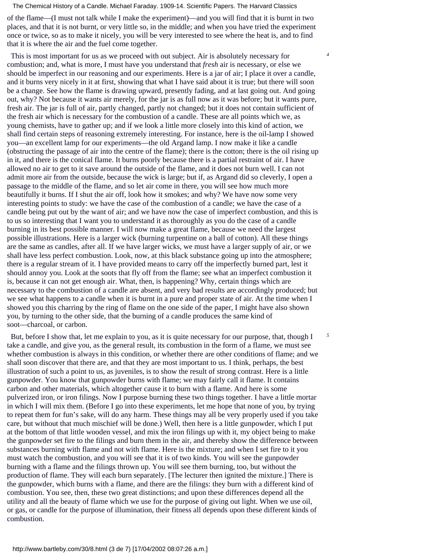of the flame—(I must not talk while I make the experiment)—and you will find that it is burnt in two places, and that it is not burnt, or very little so, in the middle; and when you have tried the experiment once or twice, so as to make it nicely, you will be very interested to see where the heat is, and to find that it is where the air and the fuel come together.

 This is most important for us as we proceed with out subject. Air is absolutely necessary for combustion; and, what is more, I must have you understand that *fresh* air is necessary, or else we should be imperfect in our reasoning and our experiments. Here is a jar of air; I place it over a candle, and it burns very nicely in it at first, showing that what I have said about it is true; but there will soon be a change. See how the flame is drawing upward, presently fading, and at last going out. And going out, why? Not because it wants air merely, for the jar is as full now as it was before; but it wants pure, fresh air. The jar is full of air, partly changed, partly not changed; but it does not contain sufficient of the fresh air which is necessary for the combustion of a candle. These are all points which we, as young chemists, have to gather up; and if we look a little more closely into this kind of action, we shall find certain steps of reasoning extremely interesting. For instance, here is the oil-lamp I showed you—an excellent lamp for our experiments—the old Argand lamp. I now make it like a candle (obstructing the passage of air into the centre of the flame); there is the cotton; there is the oil rising up in it, and there is the conical flame. It burns poorly because there is a partial restraint of air. I have allowed no air to get to it save around the outside of the flame, and it does not burn well. I can not admit more air from the outside, because the wick is large; but if, as Argand did so cleverly, I open a passage to the middle of the flame, and so let air come in there, you will see how much more beautifully it burns. If I shut the air off, look how it smokes; and why? We have now some very interesting points to study: we have the case of the combustion of a candle; we have the case of a candle being put out by the want of air; and we have now the case of imperfect combustion, and this is to us so interesting that I want you to understand it as thoroughly as you do the case of a candle burning in its best possible manner. I will now make a great flame, because we need the largest possible illustrations. Here is a larger wick (burning turpentine on a ball of cotton). All these things are the same as candles, after all. If we have larger wicks, we must have a larger supply of air, or we shall have less perfect combustion. Look, now, at this black substance going up into the atmosphere; there is a regular stream of it. I have provided means to carry off the imperfectly burned part, lest it should annoy you. Look at the soots that fly off from the flame; see what an imperfect combustion it is, because it can not get enough air. What, then, is happening? Why, certain things which are necessary to the combustion of a candle are absent, and very bad results are accordingly produced; but we see what happens to a candle when it is burnt in a pure and proper state of air. At the time when I showed you this charring by the ring of flame on the one side of the paper, I might have also shown you, by turning to the other side, that the burning of a candle produces the same kind of soot—charcoal, or carbon.

 But, before I show that, let me explain to you, as it is quite necessary for our purpose, that, though I take a candle, and give you, as the general result, its combustion in the form of a flame, we must see whether combustion is always in this condition, or whether there are other conditions of flame; and we shall soon discover that there are, and that they are most important to us. I think, perhaps, the best illustration of such a point to us, as juveniles, is to show the result of strong contrast. Here is a little gunpowder. You know that gunpowder burns with flame; we may fairly call it flame. It contains carbon and other materials, which altogether cause it to burn with a flame. And here is some pulverized iron, or iron filings. Now I purpose burning these two things together. I have a little mortar in which I will mix them. (Before I go into these experiments, let me hope that none of you, by trying to repeat them for fun's sake, will do any harm. These things may all be very properly used if you take care, but without that much mischief will be done.) Well, then here is a little gunpowder, which I put at the bottom of that little wooden vessel, and mix the iron filings up with it, my object being to make the gunpowder set fire to the filings and burn them in the air, and thereby show the difference between substances burning with flame and not with flame. Here is the mixture; and when I set fire to it you must watch the combustion, and you will see that it is of two kinds. You will see the gunpowder burning with a flame and the filings thrown up. You will see them burning, too, but without the production of flame. They will each burn separately. [The lecturer then ignited the mixture.] There is the gunpowder, which burns with a flame, and there are the filings: they burn with a different kind of combustion. You see, then, these two great distinctions; and upon these differences depend all the utility and all the beauty of flame which we use for the purpose of giving out light. When we use oil, or gas, or candle for the purpose of illumination, their fitness all depends upon these different kinds of combustion.

 *5*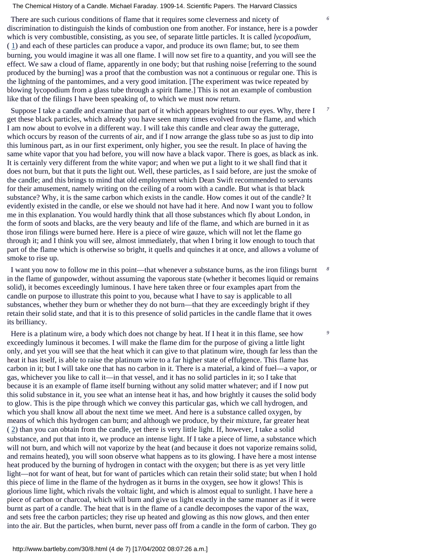<span id="page-12-0"></span> There are such curious conditions of flame that it requires some cleverness and nicety of discrimination to distinguish the kinds of combustion one from another. For instance, here is a powder which is very combustible, consisting, as you see, of separate little particles. It is called *lycopodium,* ( [1\)](#page-15-0) and each of these particles can produce a vapor, and produce its own flame; but, to see them burning, you would imagine it was all one flame. I will now set fire to a quantity, and you will see the effect. We saw a cloud of flame, apparently in one body; but that rushing noise [referring to the sound produced by the burning] was a proof that the combustion was not a continuous or regular one. This is the lightning of the pantomimes, and a very good imitation. [The experiment was twice repeated by blowing lycopodium from a glass tube through a spirit flame.] This is not an example of combustion like that of the filings I have been speaking of, to which we must now return.

 *6*

 *7*

 *8*

 *9*

 Suppose I take a candle and examine that part of it which appears brightest to our eyes. Why, there I get these black particles, which already you have seen many times evolved from the flame, and which I am now about to evolve in a different way. I will take this candle and clear away the gutterage, which occurs by reason of the currents of air, and if I now arrange the glass tube so as just to dip into this luminous part, as in our first experiment, only higher, you see the result. In place of having the same white vapor that you had before, you will now have a black vapor. There is goes, as black as ink. It is certainly very different from the white vapor; and when we put a light to it we shall find that it does not burn, but that it puts the light out. Well, these particles, as I said before, are just the smoke of the candle; and this brings to mind that old employment which Dean Swift recommended to servants for their amusement, namely writing on the ceiling of a room with a candle. But what is that black substance? Why, it is the same carbon which exists in the candle. How comes it out of the candle? It evidently existed in the candle, or else we should not have had it here. And now I want you to follow me in this explanation. You would hardly think that all those substances which fly about London, in the form of soots and blacks, are the very beauty and life of the flame, and which are burned in it as those iron filings were burned here. Here is a piece of wire gauze, which will not let the flame go through it; and I think you will see, almost immediately, that when I bring it low enough to touch that part of the flame which is otherwise so bright, it quells and quinches it at once, and allows a volume of smoke to rise up.

 I want you now to follow me in this point—that whenever a substance burns, as the iron filings burnt in the flame of gunpowder, without assuming the vaporous state (whether it becomes liquid or remains solid), it becomes exceedingly luminous. I have here taken three or four examples apart from the candle on purpose to illustrate this point to you, because what I have to say is applicable to all substances, whether they burn or whether they do not burn—that they are exceedingly bright if they retain their solid state, and that it is to this presence of solid particles in the candle flame that it owes its brilliancy.

<span id="page-12-1"></span> Here is a platinum wire, a body which does not change by heat. If I heat it in this flame, see how exceedingly luminous it becomes. I will make the flame dim for the purpose of giving a little light only, and yet you will see that the heat which it can give to that platinum wire, though far less than the heat it has itself, is able to raise the platinum wire to a far higher state of effulgence. This flame has carbon in it; but I will take one that has no carbon in it. There is a material, a kind of fuel—a vapor, or gas, whichever you like to call it—in that vessel, and it has no solid particles in it; so I take that because it is an example of flame itself burning without any solid matter whatever; and if I now put this solid substance in it, you see what an intense heat it has, and how brightly it causes the solid body to glow. This is the pipe through which we convey this particular gas, which we call hydrogen, and which you shall know all about the next time we meet. And here is a substance called oxygen, by means of which this hydrogen can burn; and although we produce, by their mixture, far greater heat ( [2\)](#page-15-1) than you can obtain from the candle, yet there is very little light. If, however, I take a solid substance, and put that into it, we produce an intense light. If I take a piece of lime, a substance which will not burn, and which will not vaporize by the heat (and because it does not vaporize remains solid, and remains heated), you will soon observe what happens as to its glowing. I have here a most intense heat produced by the burning of hydrogen in contact with the oxygen; but there is as yet very little light—not for want of heat, but for want of particles which can retain their solid state; but when I hold this piece of lime in the flame of the hydrogen as it burns in the oxygen, see how it glows! This is glorious lime light, which rivals the voltaic light, and which is almost equal to sunlight. I have here a piece of carbon or charcoal, which will burn and give us light exactly in the same manner as if it were burnt as part of a candle. The heat that is in the flame of a candle decomposes the vapor of the wax, and sets free the carbon particles; they rise up heated and glowing as this now glows, and then enter into the air. But the particles, when burnt, never pass off from a candle in the form of carbon. They go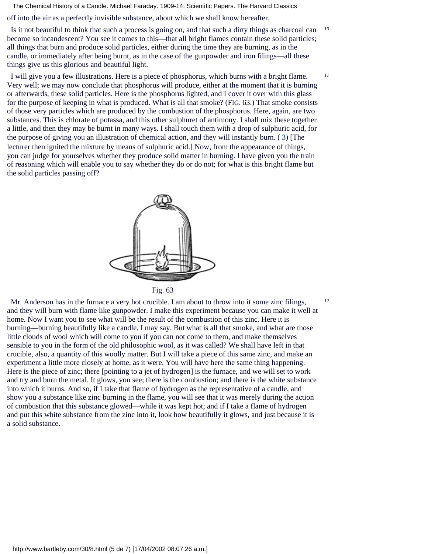off into the air as a perfectly invisible substance, about which we shall know hereafter.

 Is it not beautiful to think that such a process is going on, and that such a dirty things as charcoal can become so incandescent? You see it comes to this—that all bright flames contain these solid particles; all things that burn and produce solid particles, either during the time they are burning, as in the candle, or immediately after being burnt, as in the case of the gunpowder and iron filings—all these things give us this glorious and beautiful light.  *10*

<span id="page-13-0"></span> I will give you a few illustrations. Here is a piece of phosphorus, which burns with a bright flame. Very well; we may now conclude that phosphorus will produce, either at the moment that it is burning or afterwards, these solid particles. Here is the phosphorus lighted, and I cover it over with this glass for the purpose of keeping in what is produced. What is all that smoke? (FIG. 63.) That smoke consists of those very particles which are produced by the combustion of the phosphorus. Here, again, are two substances. This is chlorate of potassa, and this other sulphuret of antimony. I shall mix these together a little, and then they may be burnt in many ways. I shall touch them with a drop of sulphuric acid, for the purpose of giving you an illustration of chemical action, and they will instantly burn. ( [3\)](#page-15-2) [The lecturer then ignited the mixture by means of sulphuric acid.] Now, from the appearance of things, you can judge for yourselves whether they produce solid matter in burning. I have given you the train of reasoning which will enable you to say whether they do or do not; for what is this bright flame but the solid particles passing off?



Fig. 63

 Mr. Anderson has in the furnace a very hot crucible. I am about to throw into it some zinc filings, and they will burn with flame like gunpowder. I make this experiment because you can make it well at home. Now I want you to see what will be the result of the combustion of this zinc. Here it is burning—burning beautifully like a candle, I may say. But what is all that smoke, and what are those little clouds of wool which will come to you if you can not come to them, and make themselves sensible to you in the form of the old philosophic wool, as it was called? We shall have left in that crucible, also, a quantity of this woolly matter. But I will take a piece of this same zinc, and make an experiment a little more closely at home, as it were. You will have here the same thing happening. Here is the piece of zinc; there [pointing to a jet of hydrogen] is the furnace, and we will set to work and try and burn the metal. It glows, you see; there is the combustion; and there is the white substance into which it burns. And so, if I take that flame of hydrogen as the representative of a candle, and show you a substance like zinc burning in the flame, you will see that it was merely during the action of combustion that this substance glowed—while it was kept hot; and if I take a flame of hydrogen and put this white substance from the zinc into it, look how beautifully it glows, and just because it is a solid substance.

 *12*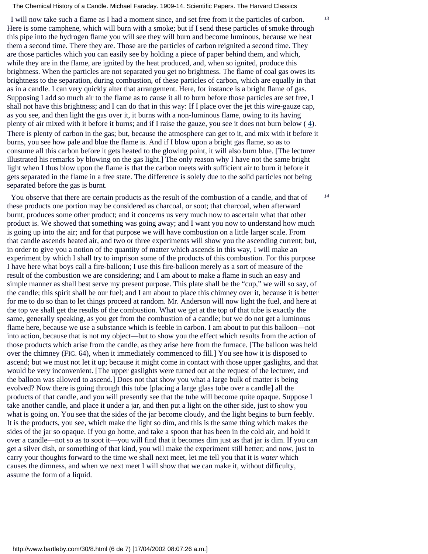I will now take such a flame as I had a moment since, and set free from it the particles of carbon. Here is some camphene, which will burn with a smoke; but if I send these particles of smoke through this pipe into the hydrogen flame you will see they will burn and become luminous, because we heat them a second time. There they are. Those are the particles of carbon reignited a second time. They are those particles which you can easily see by holding a piece of paper behind them, and which, while they are in the flame, are ignited by the heat produced, and, when so ignited, produce this brightness. When the particles are not separated you get no brightness. The flame of coal gas owes its brightness to the separation, during combustion, of these particles of carbon, which are equally in that as in a candle. I can very quickly alter that arrangement. Here, for instance is a bright flame of gas. Supposing I add so much air to the flame as to cause it all to burn before those particles are set free. I shall not have this brightness; and I can do that in this way: If I place over the jet this wire-gauze cap, as you see, and then light the gas over it, it burns with a non-luminous flame, owing to its having plenty of air mixed with it before it burns; and if I raise the gauze, you see it does not burn below ( [4](#page-15-3)). There is plenty of carbon in the gas; but, because the atmosphere can get to it, and mix with it before it burns, you see how pale and blue the flame is. And if I blow upon a bright gas flame, so as to consume all this carbon before it gets heated to the glowing point, it will also burn blue. [The lecturer illustrated his remarks by blowing on the gas light.] The only reason why I have not the same bright light when I thus blow upon the flame is that the carbon meets with sufficient air to burn it before it gets separated in the flame in a free state. The difference is solely due to the solid particles not being separated before the gas is burnt.

<span id="page-14-0"></span> You observe that there are certain products as the result of the combustion of a candle, and that of these products one portion may be considered as charcoal, or soot; that charcoal, when afterward burnt, produces some other product; and it concerns us very much now to ascertain what that other product is. We showed that something was going away; and I want you now to understand how much is going up into the air; and for that purpose we will have combustion on a little larger scale. From that candle ascends heated air, and two or three experiments will show you the ascending current; but, in order to give you a notion of the quantity of matter which ascends in this way, I will make an experiment by which I shall try to imprison some of the products of this combustion. For this purpose I have here what boys call a fire-balloon; I use this fire-balloon merely as a sort of measure of the result of the combustion we are considering; and I am about to make a flame in such an easy and simple manner as shall best serve my present purpose. This plate shall be the "cup," we will so say, of the candle; this spirit shall be our fuel; and I am about to place this chimney over it, because it is better for me to do so than to let things proceed at random. Mr. Anderson will now light the fuel, and here at the top we shall get the results of the combustion. What we get at the top of that tube is exactly the same, generally speaking, as you get from the combustion of a candle; but we do not get a luminous flame here, because we use a substance which is feeble in carbon. I am about to put this balloon—not into action, because that is not my object—but to show you the effect which results from the action of those products which arise from the candle, as they arise here from the furnace. [The balloon was held over the chimney (FIG. 64), when it immediately commenced to fill.] You see how it is disposed to ascend; but we must not let it up; because it might come in contact with those upper gaslights, and that would be very inconvenient. [The upper gaslights were turned out at the request of the lecturer, and the balloon was allowed to ascend.] Does not that show you what a large bulk of matter is being evolved? Now there is going through this tube [placing a large glass tube over a candle] all the products of that candle, and you will presently see that the tube will become quite opaque. Suppose I take another candle, and place it under a jar, and then put a light on the other side, just to show you what is going on. You see that the sides of the jar become cloudy, and the light begins to burn feebly. It is the products, you see, which make the light so dim, and this is the same thing which makes the sides of the jar so opaque. If you go home, and take a spoon that has been in the cold air, and hold it over a candle—not so as to soot it—you will find that it becomes dim just as that jar is dim. If you can get a silver dish, or something of that kind, you will make the experiment still better; and now, just to carry your thoughts forward to the time we shall next meet, let me tell you that it is *water* which causes the dimness, and when we next meet I will show that we can make it, without difficulty, assume the form of a liquid.

 *13*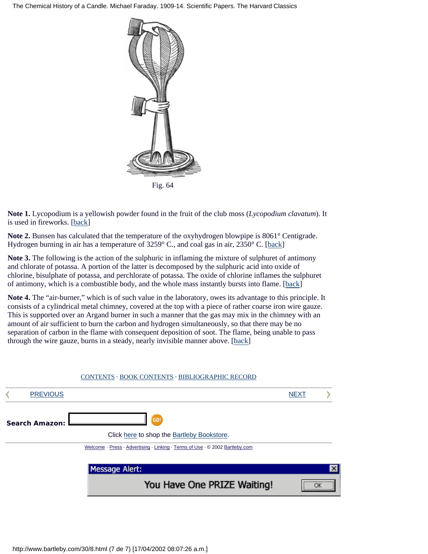

Fig. 64

<span id="page-15-0"></span>**Note 1.** Lycopodium is a yellowish powder found in the fruit of the club moss (*Lycopodium clavatum*). It is used in fireworks. [\[back\]](#page-12-0)

<span id="page-15-1"></span>**Note 2.** Bunsen has calculated that the temperature of the oxyhydrogen blowpipe is 8061° Centigrade. Hydrogen burning in air has a temperature of 3259° C., and coal gas in air, 2350° C. [\[back\]](#page-12-1)

<span id="page-15-2"></span>**Note 3.** The following is the action of the sulphuric in inflaming the mixture of sulphuret of antimony and chlorate of potassa. A portion of the latter is decomposed by the sulphuric acid into oxide of chlorine, bisulphate of potassa, and perchlorate of potassa. The oxide of chlorine inflames the sulphuret of antimony, which is a combustible body, and the whole mass instantly bursts into flame. [\[back\]](#page-13-0)

<span id="page-15-3"></span>**Note 4.** The "air-burner," which is of such value in the laboratory, owes its advantage to this principle. It consists of a cylindrical metal chimney, covered at the top with a piece of rather coarse iron wire gauze. This is supported over an Argand burner in such a manner that the gas may mix in the chimney with an amount of air sufficient to burn the carbon and hydrogen simultaneously, so that there may be no separation of carbon in the flame with consequent deposition of soot. The flame, being unable to pass through the wire gauze, burns in a steady, nearly invisible manner above. [[back](#page-14-0)]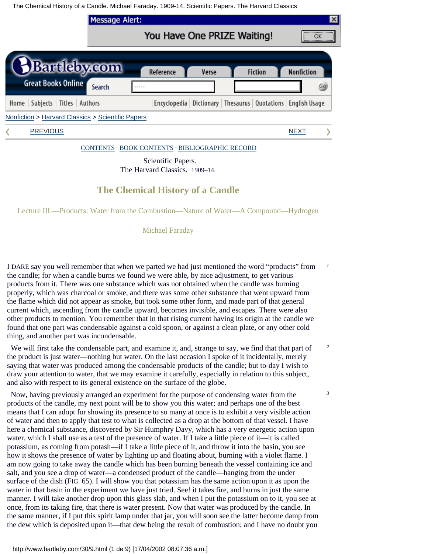# **The Chemical History of a Candle**

<span id="page-16-1"></span>Lecture III.—Products: Water from the Combustion—Nature of Water—A Compound—Hydrogen

## Michael Faraday

 *1*

 *2*

 *3*

I DARE say you well remember that when we parted we had just mentioned the word "products" from the candle; for when a candle burns we found we were able, by nice adjustment, to get various products from it. There was one substance which was not obtained when the candle was burning properly, which was charcoal or smoke, and there was some other substance that went upward from the flame which did not appear as smoke, but took some other form, and made part of that general current which, ascending from the candle upward, becomes invisible, and escapes. There were also other products to mention. You remember that in that rising current having its origin at the candle we found that one part was condensable against a cold spoon, or against a clean plate, or any other cold thing, and another part was incondensable.

We will first take the condensable part, and examine it, and, strange to say, we find that that part of the product is just water—nothing but water. On the last occasion I spoke of it incidentally, merely saying that water was produced among the condensable products of the candle; but to-day I wish to draw your attention to water, that we may examine it carefully, especially in relation to this subject, and also with respect to its general existence on the surface of the globe.

<span id="page-16-0"></span> Now, having previously arranged an experiment for the purpose of condensing water from the products of the candle, my next point will be to show you this water; and perhaps one of the best means that I can adopt for showing its presence to so many at once is to exhibit a very visible action of water and then to apply that test to what is collected as a drop at the bottom of that vessel. I have here a chemical substance, discovered by Sir Humphry Davy, which has a very energetic action upon water, which I shall use as a test of the presence of water. If I take a little piece of it—it is called potassium, as coming from potash—if I take a little piece of it, and throw it into the basin, you see how it shows the presence of water by lighting up and floating about, burning with a violet flame. I am now going to take away the candle which has been burning beneath the vessel containing ice and salt, and you see a drop of water—a condensed product of the candle—hanging from the under surface of the dish (FIG. 65). I will show you that potassium has the same action upon it as upon the water in that basin in the experiment we have just tried. See! it takes fire, and burns in just the same manner. I will take another drop upon this glass slab, and when I put the potassium on to it, you see at once, from its taking fire, that there is water present. Now that water was produced by the candle. In the same manner, if I put this spirit lamp under that jar, you will soon see the latter become damp from the dew which is deposited upon it—that dew being the result of combustion; and I have no doubt you Lecture III.—Products: Water from the Combustion—Nature Michael Faraday Michael Faraday Michael Faraday Michael Faraday Michael Faraday experiments on each and get that we can the compute the compute of the compute of the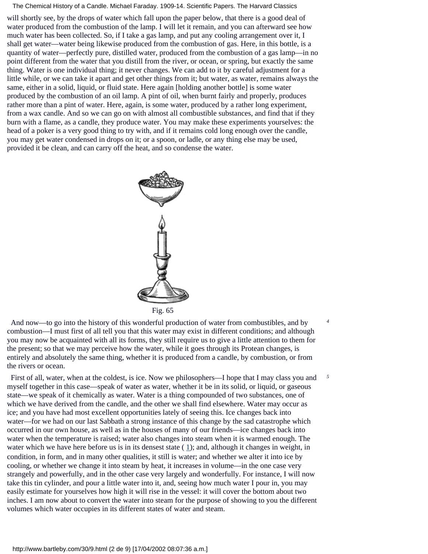will shortly see, by the drops of water which fall upon the paper below, that there is a good deal of water produced from the combustion of the lamp. I will let it remain, and you can afterward see how much water has been collected. So, if I take a gas lamp, and put any cooling arrangement over it, I shall get water—water being likewise produced from the combustion of gas. Here, in this bottle, is a quantity of water—perfectly pure, distilled water, produced from the combustion of a gas lamp—in no point different from the water that you distill from the river, or ocean, or spring, but exactly the same thing. Water is one individual thing; it never changes. We can add to it by careful adjustment for a little while, or we can take it apart and get other things from it; but water, as water, remains always the same, either in a solid, liquid, or fluid state. Here again [holding another bottle] is some water produced by the combustion of an oil lamp. A pint of oil, when burnt fairly and properly, produces rather more than a pint of water. Here, again, is some water, produced by a rather long experiment, from a wax candle. And so we can go on with almost all combustible substances, and find that if they burn with a flame, as a candle, they produce water. You may make these experiments yourselves: the head of a poker is a very good thing to try with, and if it remains cold long enough over the candle, you may get water condensed in drops on it; or a spoon, or ladle, or any thing else may be used, provided it be clean, and can carry off the heat, and so condense the water.



 And now—to go into the history of this wonderful production of water from combustibles, and by combustion—I must first of all tell you that this water may exist in different conditions; and although you may now be acquainted with all its forms, they still require us to give a little attention to them for the present; so that we may perceive how the water, while it goes through its Protean changes, is entirely and absolutely the same thing, whether it is produced from a candle, by combustion, or from the rivers or ocean.

 *4*

 *5*

<span id="page-17-0"></span> First of all, water, when at the coldest, is ice. Now we philosophers—I hope that I may class you and myself together in this case—speak of water as water, whether it be in its solid, or liquid, or gaseous state—we speak of it chemically as water. Water is a thing compounded of two substances, one of which we have derived from the candle, and the other we shall find elsewhere. Water may occur as ice; and you have had most excellent opportunities lately of seeing this. Ice changes back into water—for we had on our last Sabbath a strong instance of this change by the sad catastrophe which occurred in our own house, as well as in the houses of many of our friends—ice changes back into water when the temperature is raised; water also changes into steam when it is warmed enough. The water which we have here before us is in its densest state ( [1\)](#page-24-0); and, although it changes in weight, in condition, in form, and in many other qualities, it still is water; and whether we alter it into ice by cooling, or whether we change it into steam by heat, it increases in volume—in the one case very strangely and powerfully, and in the other case very largely and wonderfully. For instance, I will now take this tin cylinder, and pour a little water into it, and, seeing how much water I pour in, you may easily estimate for yourselves how high it will rise in the vessel: it will cover the bottom about two inches. I am now about to convert the water into steam for the purpose of showing to you the different volumes which water occupies in its different states of water and steam.

http://www.bartleby.com/30/9.html (2 de 9) [17/04/2002 08:07:36 a.m.]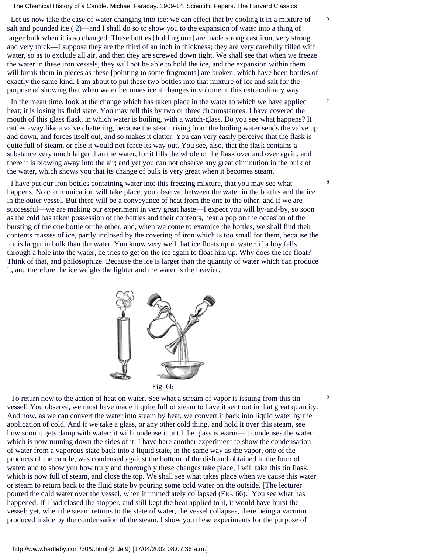<span id="page-18-0"></span> Let us now take the case of water changing into ice: we can effect that by cooling it in a mixture of salt and pounded ice ([2](#page-24-1))—and I shall do so to show you to the expansion of water into a thing of larger bulk when it is so changed. These bottles [holding one] are made strong cast iron, very strong and very thick—I suppose they are the third of an inch in thickness; they are very carefully filled with water, so as to exclude all air, and then they are screwed down tight. We shall see that when we freeze the water in these iron vessels, they will not be able to hold the ice, and the expansion within them will break them in pieces as these [pointing to some fragments] are broken, which have been bottles of exactly the same kind. I am about to put these two bottles into that mixture of ice and salt for the purpose of showing that when water becomes ice it changes in volume in this extraordinary way.

 *6*

 *7*

 *8*

 *9*

 In the mean time, look at the change which has taken place in the water to which we have applied heat; it is losing its fluid state. You may tell this by two or three circumstances. I have covered the mouth of this glass flask, in which water is boiling, with a watch-glass. Do you see what happens? It rattles away like a valve chattering, because the steam rising from the boiling water sends the valve up and down, and forces itself out, and so makes it clatter. You can very easily perceive that the flask is quite full of steam, or else it would not force its way out. You see, also, that the flask contains a substance very much larger than the water, for it fills the whole of the flask over and over again, and there it is blowing away into the air; and yet you can not observe any great diminution in the bulk of the water, which shows you that its change of bulk is very great when it becomes steam.

 I have put our iron bottles containing water into this freezing mixture, that you may see what happens. No communication will take place, you observe, between the water in the bottles and the ice in the outer vessel. But there will be a conveyance of heat from the one to the other, and if we are successful—we are making our experiment in very great haste—I expect you will by-and-by, so soon as the cold has taken possession of the bottles and their contents, hear a pop on the occasion of the bursting of the one bottle or the other, and, when we come to examine the bottles, we shall find their contents masses of ice, partly inclosed by the covering of iron which is too small for them, because the ice is larger in bulk than the water. You know very well that ice floats upon water; if a boy falls through a hole into the water, he tries to get on the ice again to float him up. Why does the ice float? Think of that, and philosophize. Because the ice is larger than the quantity of water which can produce it, and therefore the ice weighs the lighter and the water is the heavier.



 To return now to the action of heat on water. See what a stream of vapor is issuing from this tin vessel! You observe, we must have made it quite full of steam to have it sent out in that great quantity. And now, as we can convert the water into steam by heat, we convert it back into liquid water by the application of cold. And if we take a glass, or any other cold thing, and hold it over this steam, see how soon it gets damp with water: it will condense it until the glass is warm—it condenses the water which is now running down the sides of it. I have here another experiment to show the condensation of water from a vaporous state back into a liquid state, in the same way as the vapor, one of the products of the candle, was condensed against the bottom of the dish and obtained in the form of water; and to show you how truly and thoroughly these changes take place, I will take this tin flask, which is now full of steam, and close the top. We shall see what takes place when we cause this water or steam to return back to the fluid state by pouring some cold water on the outside. [The lecturer poured the cold water over the vessel, when it immediately collapsed (FIG. 66).] You see what has happened. If I had closed the stopper, and still kept the heat applied to it, it would have burst the vessel; yet, when the steam returns to the state of water, the vessel collapses, there being a vacuum produced inside by the condensation of the steam. I show you these experiments for the purpose of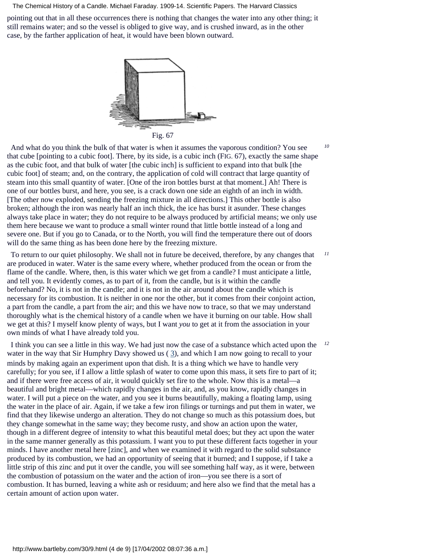pointing out that in all these occurrences there is nothing that changes the water into any other thing; it still remains water; and so the vessel is obliged to give way, and is crushed inward, as in the other case, by the farther application of heat, it would have been blown outward.



 And what do you think the bulk of that water is when it assumes the vaporous condition? You see that cube [pointing to a cubic foot]. There, by its side, is a cubic inch (FIG. 67), exactly the same shape as the cubic foot, and that bulk of water [the cubic inch] is sufficient to expand into that bulk [the cubic foot] of steam; and, on the contrary, the application of cold will contract that large quantity of steam into this small quantity of water. [One of the iron bottles burst at that moment.] Ah! There is one of our bottles burst, and here, you see, is a crack down one side an eighth of an inch in width. [The other now exploded, sending the freezing mixture in all directions.] This other bottle is also broken; although the iron was nearly half an inch thick, the ice has burst it asunder. These changes always take place in water; they do not require to be always produced by artificial means; we only use them here because we want to produce a small winter round that little bottle instead of a long and severe one. But if you go to Canada, or to the North, you will find the temperature there out of doors will do the same thing as has been done here by the freezing mixture.

 *10*

 *11*

 *12*

 To return to our quiet philosophy. We shall not in future be deceived, therefore, by any changes that are produced in water. Water is the same every where, whether produced from the ocean or from the flame of the candle. Where, then, is this water which we get from a candle? I must anticipate a little, and tell you. It evidently comes, as to part of it, from the candle, but is it within the candle beforehand? No, it is not in the candle; and it is not in the air around about the candle which is necessary for its combustion. It is neither in one nor the other, but it comes from their conjoint action, a part from the candle, a part from the air; and this we have now to trace, so that we may understand thoroughly what is the chemical history of a candle when we have it burning on our table. How shall we get at this? I myself know plenty of ways, but I want *you* to get at it from the association in your own minds of what I have already told you.

<span id="page-19-0"></span> I think you can see a little in this way. We had just now the case of a substance which acted upon the water in the way that Sir Humphry Davy showed us ( [3\)](#page-24-2), and which I am now going to recall to your minds by making again an experiment upon that dish. It is a thing which we have to handle very carefully; for you see, if I allow a little splash of water to come upon this mass, it sets fire to part of it; and if there were free access of air, it would quickly set fire to the whole. Now this is a metal—a beautiful and bright metal—which rapidly changes in the air, and, as you know, rapidly changes in water. I will put a piece on the water, and you see it burns beautifully, making a floating lamp, using the water in the place of air. Again, if we take a few iron filings or turnings and put them in water, we find that they likewise undergo an alteration. They do not change so much as this potassium does, but they change somewhat in the same way; they become rusty, and show an action upon the water, though in a different degree of intensity to what this beautiful metal does; but they act upon the water in the same manner generally as this potassium. I want you to put these different facts together in your minds. I have another metal here [zinc], and when we examined it with regard to the solid substance produced by its combustion, we had an opportunity of seeing that it burned; and I suppose, if I take a little strip of this zinc and put it over the candle, you will see something half way, as it were, between the combustion of potassium on the water and the action of iron—you see there is a sort of combustion. It has burned, leaving a white ash or residuum; and here also we find that the metal has a certain amount of action upon water.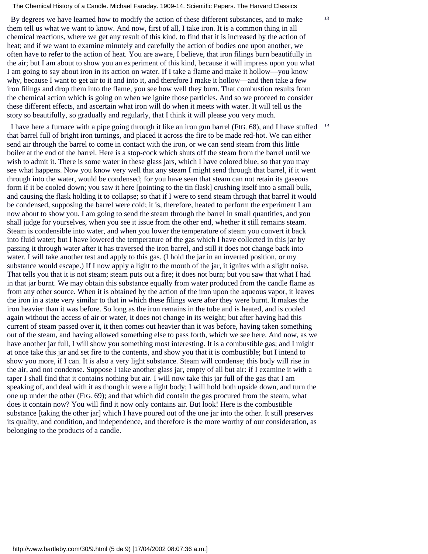By degrees we have learned how to modify the action of these different substances, and to make them tell us what we want to know. And now, first of all, I take iron. It is a common thing in all chemical reactions, where we get any result of this kind, to find that it is increased by the action of heat; and if we want to examine minutely and carefully the action of bodies one upon another, we often have to refer to the action of heat. You are aware, I believe, that iron filings burn beautifully in the air; but I am about to show you an experiment of this kind, because it will impress upon you what I am going to say about iron in its action on water. If I take a flame and make it hollow—you know why, because I want to get air to it and into it, and therefore I make it hollow—and then take a few iron filings and drop them into the flame, you see how well they burn. That combustion results from the chemical action which is going on when we ignite those particles. And so we proceed to consider these different effects, and ascertain what iron will do when it meets with water. It will tell us the story so beautifully, so gradually and regularly, that I think it will please you very much.

 I have here a furnace with a pipe going through it like an iron gun barrel (FIG. 68), and I have stuffed  *14* that barrel full of bright iron turnings, and placed it across the fire to be made red-hot. We can either send air through the barrel to come in contact with the iron, or we can send steam from this little boiler at the end of the barrel. Here is a stop-cock which shuts off the steam from the barrel until we wish to admit it. There is some water in these glass jars, which I have colored blue, so that you may see what happens. Now you know very well that any steam I might send through that barrel, if it went through into the water, would be condensed; for you have seen that steam can not retain its gaseous form if it be cooled down; you saw it here [pointing to the tin flask] crushing itself into a small bulk, and causing the flask holding it to collapse; so that if I were to send steam through that barrel it would be condensed, supposing the barrel were cold; it is, therefore, heated to perform the experiment I am now about to show you. I am going to send the steam through the barrel in small quantities, and you shall judge for yourselves, when you see it issue from the other end, whether it still remains steam. Steam is condensible into water, and when you lower the temperature of steam you convert it back into fluid water; but I have lowered the temperature of the gas which I have collected in this jar by passing it through water after it has traversed the iron barrel, and still it does not change back into water. I will take another test and apply to this gas. (I hold the jar in an inverted position, or my substance would escape.) If I now apply a light to the mouth of the jar, it ignites with a slight noise. That tells you that it is not steam; steam puts out a fire; it does not burn; but you saw that what I had in that jar burnt. We may obtain this substance equally from water produced from the candle flame as from any other source. When it is obtained by the action of the iron upon the aqueous vapor, it leaves the iron in a state very similar to that in which these filings were after they were burnt. It makes the iron heavier than it was before. So long as the iron remains in the tube and is heated, and is cooled again without the access of air or water, it does not change in its weight; but after having had this current of steam passed over it, it then comes out heavier than it was before, having taken something out of the steam, and having allowed something else to pass forth, which we see here. And now, as we have another jar full, I will show you something most interesting. It is a combustible gas; and I might at once take this jar and set fire to the contents, and show you that it is combustible; but I intend to show you more, if I can. It is also a very light substance. Steam will condense; this body will rise in the air, and not condense. Suppose I take another glass jar, empty of all but air: if I examine it with a taper I shall find that it contains nothing but air. I will now take this jar full of the gas that I am speaking of, and deal with it as though it were a light body; I will hold both upside down, and turn the one up under the other (FIG. 69); and that which did contain the gas procured from the steam, what does it contain now? You will find it now only contains air. But look! Here is the combustible substance [taking the other jar] which I have poured out of the one jar into the other. It still preserves its quality, and condition, and independence, and therefore is the more worthy of our consideration, as belonging to the products of a candle.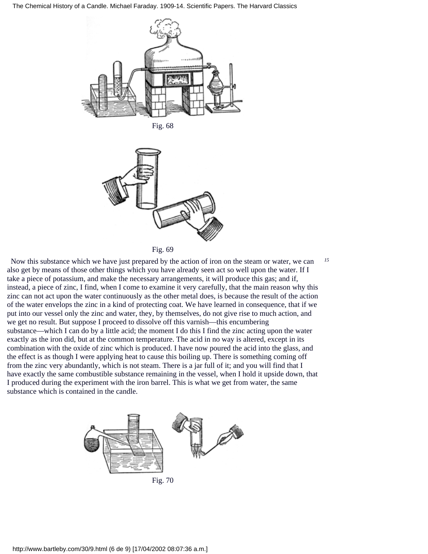

 Now this substance which we have just prepared by the action of iron on the steam or water, we can also get by means of those other things which you have already seen act so well upon the water. If I take a piece of potassium, and make the necessary arrangements, it will produce this gas; and if, instead, a piece of zinc, I find, when I come to examine it very carefully, that the main reason why this zinc can not act upon the water continuously as the other metal does, is because the result of the action of the water envelops the zinc in a kind of protecting coat. We have learned in consequence, that if we put into our vessel only the zinc and water, they, by themselves, do not give rise to much action, and we get no result. But suppose I proceed to dissolve off this varnish—this encumbering substance—which I can do by a little acid; the moment I do this I find the zinc acting upon the water exactly as the iron did, but at the common temperature. The acid in no way is altered, except in its combination with the oxide of zinc which is produced. I have now poured the acid into the glass, and the effect is as though I were applying heat to cause this boiling up. There is something coming off from the zinc very abundantly, which is not steam. There is a jar full of it; and you will find that I have exactly the same combustible substance remaining in the vessel, when I hold it upside down, that I produced during the experiment with the iron barrel. This is what we get from water, the same substance which is contained in the candle.

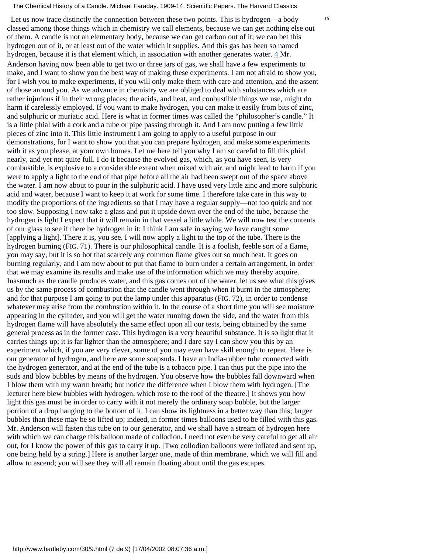*16*

<span id="page-22-0"></span> Let us now trace distinctly the connection between these two points. This is hydrogen—a body classed among those things which in chemistry we call elements, because we can get nothing else out of them. A candle is not an elementary body, because we can get carbon out of it; we can bet this hydrogen out of it, or at least out of the water which it supplies. And this gas has been so named hydrogen, because it is that element which, in association with another generates water. [4](#page-24-3) Mr. Anderson having now been able to get two or three jars of gas, we shall have a few experiments to make, and I want to show you the best way of making these experiments. I am not afraid to show you, for I wish you to make experiments, if you will only make them with care and attention, and the assent of those around you. As we advance in chemistry we are obliged to deal with substances which are rather injurious if in their wrong places; the acids, and heat, and conbustible things we use, might do harm if carelessly employed. If you want to make hydrogen, you can make it easily from bits of zinc, and sulphuric or muriatic acid. Here is what in former times was called the "philosopher's candle." It is a little phial with a cork and a tube or pipe passing through it. And I am now putting a few little pieces of zinc into it. This little instrument I am going to apply to a useful purpose in our demonstrations, for I want to show you that you can prepare hydrogen, and make some experiments with it as you please, at your own homes. Let me here tell you why I am so careful to fill this phial nearly, and yet not quite full. I do it because the evolved gas, which, as you have seen, is very combustible, is explosive to a considerable extent when mixed with air, and might lead to harm if you were to apply a light to the end of that pipe before all the air had been swept out of the space above the water. I am now about to pour in the sulphuric acid. I have used very little zinc and more sulphuric acid and water, because I want to keep it at work for some time. I therefore take care in this way to modify the proportions of the ingredients so that I may have a regular supply—not too quick and not too slow. Supposing I now take a glass and put it upside down over the end of the tube, because the hydrogen is light I expect that it will remain in that vessel a little while. We will now test the contents of our glass to see if there be hydrogen in it; I think I am safe in saying we have caught some [applying a light]. There it is, you see. I will now apply a light to the top of the tube. There is the hydrogen burning (FIG. 71). There is our philosophical candle. It is a foolish, feeble sort of a flame, you may say, but it is so hot that scarcely any common flame gives out so much heat. It goes on burning regularly, and I am now about to put that flame to burn under a certain arrangement, in order that we may examine its results and make use of the information which we may thereby acquire. Inasmuch as the candle produces water, and this gas comes out of the water, let us see what this gives us by the same process of combustion that the candle went through when it burnt in the atmosphere; and for that purpose I am going to put the lamp under this apparatus (FIG. 72), in order to condense whatever may arise from the combustion within it. In the course of a short time you will see moisture appearing in the cylinder, and you will get the water running down the side, and the water from this hydrogen flame will have absolutely the same effect upon all our tests, being obtained by the same general process as in the former case. This hydrogen is a very beautiful substance. It is so light that it carries things up; it is far lighter than the atmosphere; and I dare say I can show you this by an experiment which, if you are very clever, some of you may even have skill enough to repeat. Here is our generator of hydrogen, and here are some soapsuds. I have an India-rubber tube connected with the hydrogen generator, and at the end of the tube is a tobacco pipe. I can thus put the pipe into the suds and blow bubbles by means of the hydrogen. You observe how the bubbles fall downward when I blow them with my warm breath; but notice the difference when I blow them with hydrogen. [The lecturer here blew bubbles with hydrogen, which rose to the roof of the theatre.] It shows you how light this gas must be in order to carry with it not merely the ordinary soap bubble, but the larger portion of a drop hanging to the bottom of it. I can show its lightness in a better way than this; larger bubbles than these may be so lifted up; indeed, in former times balloons used to be filled with this gas. Mr. Anderson will fasten this tube on to our generator, and we shall have a stream of hydrogen here with which we can charge this balloon made of collodion. I need not even be very careful to get all air out, for I know the power of this gas to carry it up. [Two collodion balloons were inflated and sent up, one being held by a string.] Here is another larger one, made of thin membrane, which we will fill and allow to ascend; you will see they will all remain floating about until the gas escapes.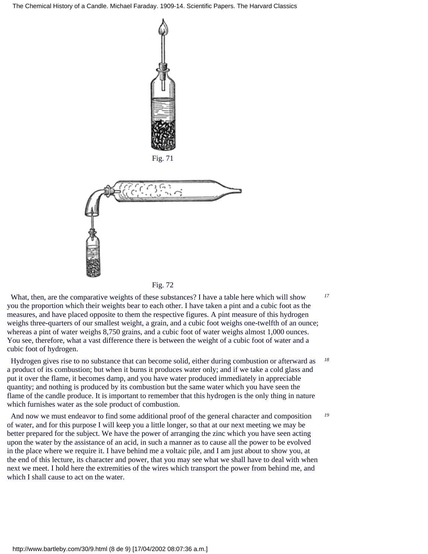



 What, then, are the comparative weights of these substances? I have a table here which will show you the proportion which their weights bear to each other. I have taken a pint and a cubic foot as the measures, and have placed opposite to them the respective figures. A pint measure of this hydrogen weighs three-quarters of our smallest weight, a grain, and a cubic foot weighs one-twelfth of an ounce; whereas a pint of water weighs 8,750 grains, and a cubic foot of water weighs almost 1,000 ounces. You see, therefore, what a vast difference there is between the weight of a cubic foot of water and a cubic foot of hydrogen.

 Hydrogen gives rise to no substance that can become solid, either during combustion or afterward as a product of its combustion; but when it burns it produces water only; and if we take a cold glass and put it over the flame, it becomes damp, and you have water produced immediately in appreciable quantity; and nothing is produced by its combustion but the same water which you have seen the flame of the candle produce. It is important to remember that this hydrogen is the only thing in nature which furnishes water as the sole product of combustion.

 And now we must endeavor to find some additional proof of the general character and composition of water, and for this purpose I will keep you a little longer, so that at our next meeting we may be better prepared for the subject. We have the power of arranging the zinc which you have seen acting upon the water by the assistance of an acid, in such a manner as to cause all the power to be evolved in the place where we require it. I have behind me a voltaic pile, and I am just about to show you, at the end of this lecture, its character and power, that you may see what we shall have to deal with when next we meet. I hold here the extremities of the wires which transport the power from behind me, and which I shall cause to act on the water.

 *17*

 *18*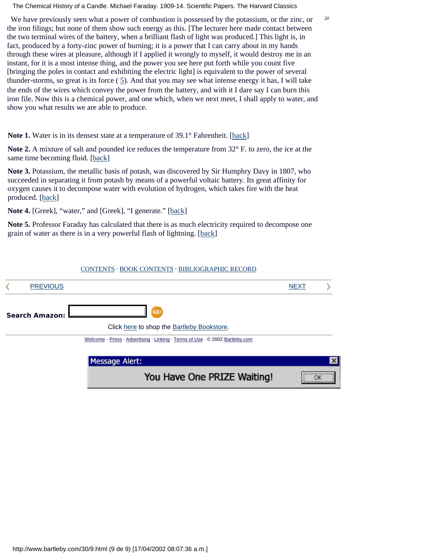We have previously seen what a power of combustion is possessed by the potassium, or the zinc, or the iron filings; but none of them show such energy as this. [The lecturer here made contact between the two terminal wires of the battery, when a brilliant flash of light was produced.] This light is, in fact, produced by a forty-zinc power of burning; it is a power that I can carry about in my hands through these wires at pleasure, although if I applied it wrongly to myself, it would destroy me in an instant, for it is a most intense thing, and the power you see here put forth while you count five [bringing the poles in contact and exhibiting the electric light] is equivalent to the power of several thunder-storms, so great is its force ( [5\)](#page-24-4). And that you may see what intense energy it has, I will take the ends of the wires which convey the power from the battery, and with it I dare say I can burn this iron file. Now this is a chemical power, and one which, when we next meet, I shall apply to water, and show you what results we are able to produce.  *20*

<span id="page-24-5"></span><span id="page-24-0"></span>**Note 1.** Water is in its densest state at a temperature of 39.1° Fahrenheit. [\[back\]](#page-17-0)

<span id="page-24-1"></span>**Note 2.** A mixture of salt and pounded ice reduces the temperature from 32° F. to zero, the ice at the same time becoming fluid. [[back](#page-18-0)]

<span id="page-24-2"></span>**Note 3.** Potassium, the metallic basis of potash, was discovered by Sir Humphry Davy in 1807, who succeeded in separating it from potash by means of a powerful voltaic battery. Its great affinity for oxygen causes it to decompose water with evolution of hydrogen, which takes fire with the heat produced. [\[back\]](#page-19-0)

<span id="page-24-3"></span>**Note 4.** [Greek], "water," and [Greek], "I generate." [[back](#page-22-0)]

<span id="page-24-4"></span>**Note 5.** Professor Faraday has calculated that there is as much electricity required to decompose one grain of water as there is in a very powerful flash of lightning. [[back](#page-24-5)]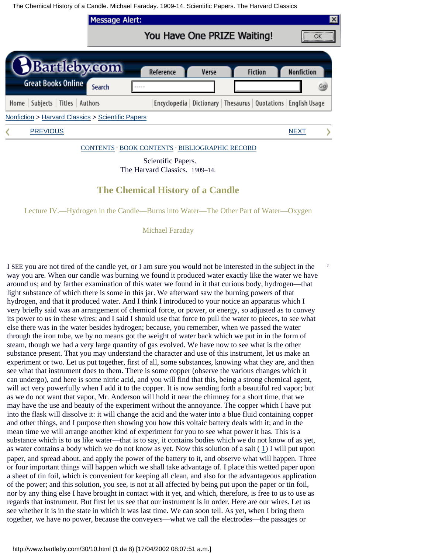## **The Chemical History of a Candle**

<span id="page-25-1"></span>Lecture IV.—Hydrogen in the Candle—Burns into Water—The Other Part of Water—Oxygen

## Michael Faraday

 *1*

<span id="page-25-3"></span><span id="page-25-0"></span>I SEE you are not tired of the candle yet, or I am sure you would not be interested in the subject in the way you are. When our candle was burning we found it produced water exactly like the water we have around us; and by farther examination of this water we found in it that curious body, hydrogen—that light substance of which there is some in this jar. We afterward saw the burning powers of that hydrogen, and that it produced water. And I think I introduced to your notice an apparatus which I very briefly said was an arrangement of chemical force, or power, or energy, so adjusted as to convey its power to us in these wires; and I said I should use that force to pull the water to pieces, to see what else there was in the water besides hydrogen; because, you remember, when we passed the water through the iron tube, we by no means got the weight of water back which we put in in the form of steam, though we had a very large quantity of gas evolved. We have now to see what is the other substance present. That you may understand the character and use of this instrument, let us make an experiment or two. Let us put together, first of all, some substances, knowing what they are, and then see what that instrument does to them. There is some copper (observe the various changes which it can undergo), and here is some nitric acid, and you will find that this, being a strong chemical agent, will act very powerfully when I add it to the copper. It is now sending forth a beautiful red vapor; but as we do not want that vapor, Mr. Anderson will hold it near the chimney for a short time, that we may have the use and beauty of the experiment without the annoyance. The copper which I have put into the flask will dissolve it: it will change the acid and the water into a blue fluid containing copper and other things, and I purpose then showing you how this voltaic battery deals with it; and in the mean time we will arrange another kind of experiment for you to see what power it has. This is a substance which is to us like water—that is to say, it contains bodies which we do not know of as yet, as water contains a body which we do not know as yet. Now this solution of a salt ( [1\)](#page-32-0) I will put upon paper, and spread about, and apply the power of the battery to it, and observe what will happen. Three or four important things will happen which we shall take advantage of. I place this wetted paper upon a sheet of tin foil, which is convenient for keeping all clean, and also for the advantageous application of the power; and this solution, you see, is not at all affected by being put upon the paper or tin foil, nor by any thing else I have brought in contact with it yet, and which, therefore, is free to us to use as regards that instrument. But first let us see that our instrument is in order. Here are our wires. Let us see whether it is in the state in which it was last time. We can soon tell. As yet, when I bring them together, we have no power, because the conveyers—what we call the electrodes—the passages or Lecture IV.—Hydrogen in the Candle—Burns into Water—T<br>Michael Faraday<br>Michael Faraday<br>Michael Faraday<br>My you are. When our candle was burning we found it produced way<br>you are. When our candle was burning we found it produc

<span id="page-25-2"></span>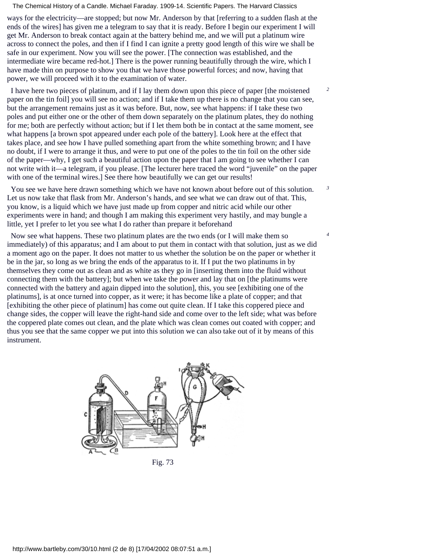ways for the electricity—are stopped; but now Mr. Anderson by that [referring to a sudden flash at the ends of the wires] has given me a telegram to say that it is ready. Before I begin our experiment I will get Mr. Anderson to break contact again at the battery behind me, and we will put a platinum wire across to connect the poles, and then if I find I can ignite a pretty good length of this wire we shall be safe in our experiment. Now you will see the power. [The connection was established, and the intermediate wire became red-hot.] There is the power running beautifully through the wire, which I have made thin on purpose to show you that we have those powerful forces; and now, having that power, we will proceed with it to the examination of water.

 *2*

 *3*

 *4*

 I have here two pieces of platinum, and if I lay them down upon this piece of paper [the moistened paper on the tin foil] you will see no action; and if I take them up there is no change that you can see, but the arrangement remains just as it was before. But, now, see what happens: if I take these two poles and put either one or the other of them down separately on the platinum plates, they do nothing for me; both are perfectly without action; but if I let them both be in contact at the same moment, see what happens [a brown spot appeared under each pole of the battery]. Look here at the effect that takes place, and see how I have pulled something apart from the white something brown; and I have no doubt, if I were to arrange it thus, and were to put one of the poles to the tin foil on the other side of the paper—why, I get such a beautiful action upon the paper that I am going to see whether I can not write with it—a telegram, if you please. [The lecturer here traced the word "juvenile" on the paper with one of the terminal wires.] See there how beautifully we can get our results!

 You see we have here drawn something which we have not known about before out of this solution. Let us now take that flask from Mr. Anderson's hands, and see what we can draw out of that. This, you know, is a liquid which we have just made up from copper and nitric acid while our other experiments were in hand; and though I am making this experiment very hastily, and may bungle a little, yet I prefer to let you see what I do rather than prepare it beforehand

 Now see what happens. These two platinum plates are the two ends (or I will make them so immediately) of this apparatus; and I am about to put them in contact with that solution, just as we did a moment ago on the paper. It does not matter to us whether the solution be on the paper or whether it be in the jar, so long as we bring the ends of the apparatus to it. If I put the two platinums in by themselves they come out as clean and as white as they go in [inserting them into the fluid without connecting them with the battery]; but when we take the power and lay that on [the platinums were connected with the battery and again dipped into the solution], this, you see [exhibiting one of the platinums], is at once turned into copper, as it were; it has become like a plate of copper; and that [exhibiting the other piece of platinum] has come out quite clean. If I take this coppered piece and change sides, the copper will leave the right-hand side and come over to the left side; what was before the coppered plate comes out clean, and the plate which was clean comes out coated with copper; and thus you see that the same copper we put into this solution we can also take out of it by means of this instrument.

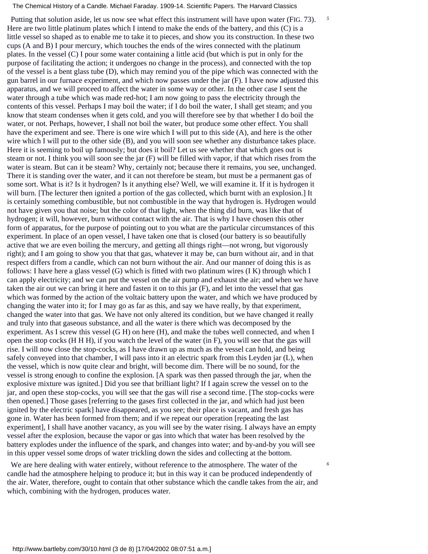*5*

 *6*

 Putting that solution aside, let us now see what effect this instrument will have upon water (FIG. 73). Here are two little platinum plates which I intend to make the ends of the battery, and this (C) is a little vessel so shaped as to enable me to take it to pieces, and show you its construction. In these two cups (A and B) I pour mercury, which touches the ends of the wires connected with the platinum plates. In the vessel (C) I pour some water containing a little acid (but which is put in only for the purpose of facilitating the action; it undergoes no change in the process), and connected with the top of the vessel is a bent glass tube (D), which may remind you of the pipe which was connected with the gun barrel in our furnace experiment, and which now passes under the jar (F). I have now adjusted this apparatus, and we will proceed to affect the water in some way or other. In the other case I sent the water through a tube which was made red-hot; I am now going to pass the electricity through the contents of this vessel. Perhaps I may boil the water; if I do boil the water, I shall get steam; and you know that steam condenses when it gets cold, and you will therefore see by that whether I do boil the water, or not. Perhaps, however, I shall not boil the water, but produce some other effect. You shall have the experiment and see. There is one wire which I will put to this side (A), and here is the other wire which I will put to the other side (B), and you will soon see whether any disturbance takes place. Here it is seeming to boil up famously; but does it boil? Let us see whether that which goes out is steam or not. I think you will soon see the jar (F) will be filled with vapor, if that which rises from the water is steam. But can it be steam? Why, certainly not; because there it remains, you see, unchanged. There it is standing over the water, and it can not therefore be steam, but must be a permanent gas of some sort. What is it? Is it hydrogen? Is it anything else? Well, we will examine it. If it is hydrogen it will burn. [The lecturer then ignited a portion of the gas collected, which burnt with an explosion.] It is certainly something combustible, but not combustible in the way that hydrogen is. Hydrogen would not have given you that noise; but the color of that light, when the thing did burn, was like that of hydrogen; it will, however, burn without contact with the air. That is why I have chosen this other form of apparatus, for the purpose of pointing out to you what are the particular circumstances of this experiment. In place of an open vessel, I have taken one that is closed (our battery is so beautifully active that we are even boiling the mercury, and getting all things right—not wrong, but vigorously right); and I am going to show you that that gas, whatever it may be, can burn without air, and in that respect differs from a candle, which can not burn without the air. And our manner of doing this is as follows: I have here a glass vessel (G) which is fitted with two platinum wires (I K) through which I can apply electricity; and we can put the vessel on the air pump and exhaust the air; and when we have taken the air out we can bring it here and fasten it on to this jar (F), and let into the vessel that gas which was formed by the action of the voltaic battery upon the water, and which we have produced by changing the water into it; for I may go as far as this, and say we have really, by that experiment, changed the water into that gas. We have not only altered its condition, but we have changed it really and truly into that gaseous substance, and all the water is there which was decomposed by the experiment. As I screw this vessel (G H) on here (H), and make the tubes well connected, and when I open the stop cocks (H H H), if you watch the level of the water (in F), you will see that the gas will rise. I will now close the stop-cocks, as I have drawn up as much as the vessel can hold, and being safely conveyed into that chamber, I will pass into it an electric spark from this Leyden jar (L), when the vessel, which is now quite clear and bright, will become dim. There will be no sound, for the vessel is strong enough to confine the explosion. [A spark was then passed through the jar, when the explosive mixture was ignited.] Did you see that brilliant light? If I again screw the vessel on to the jar, and open these stop-cocks, you will see that the gas will rise a second time. [The stop-cocks were then opened.] Those gases [referring to the gases first collected in the jar, and which had just been ignited by the electric spark] have disappeared, as you see; their place is vacant, and fresh gas has gone in. Water has been formed from them; and if we repeat our operation [repeating the last experiment], I shall have another vacancy, as you will see by the water rising. I always have an empty vessel after the explosion, because the vapor or gas into which that water has been resolved by the battery explodes under the influence of the spark, and changes into water; and by-and-by you will see in this upper vessel some drops of water trickling down the sides and collecting at the bottom.

 We are here dealing with water entirely, without reference to the atmosphere. The water of the candle had the atmosphere helping to produce it; but in this way it can be produced independently of the air. Water, therefore, ought to contain that other substance which the candle takes from the air, and which, combining with the hydrogen, produces water.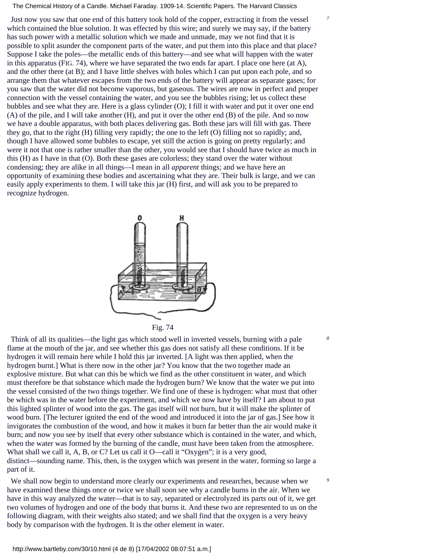Just now you saw that one end of this battery took hold of the copper, extracting it from the vessel which contained the blue solution. It was effected by this wire; and surely we may say, if the battery has such power with a metallic solution which we made and unmade, may we not find that it is possible to split asunder the component parts of the water, and put them into this place and that place? Suppose I take the poles—the metallic ends of this battery—and see what will happen with the water in this apparatus (FIG. 74), where we have separated the two ends far apart. I place one here (at A), and the other there (at B); and I have little shelves with holes which I can put upon each pole, and so arrange them that whatever escapes from the two ends of the battery will appear as separate gases; for you saw that the water did not become vaporous, but gaseous. The wires are now in perfect and proper connection with the vessel containing the water, and you see the bubbles rising; let us collect these bubbles and see what they are. Here is a glass cylinder (O); I fill it with water and put it over one end (A) of the pile, and I will take another (H), and put it over the other end (B) of the pile. And so now we have a double apparatus, with both places delivering gas. Both these jars will fill with gas. There they go, that to the right (H) filling very rapidly; the one to the left (O) filling not so rapidly; and, though I have allowed some bubbles to escape, yet still the action is going on pretty regularly; and were it not that one is rather smaller than the other, you would see that I should have twice as much in this (H) as I have in that (O). Both these gases are colorless; they stand over the water without condensing; they are alike in all things—I mean in all *apparent* things; and we have here an opportunity of examining these bodies and ascertaining what they are. Their bulk is large, and we can easily apply experiments to them. I will take this jar (H) first, and will ask you to be prepared to recognize hydrogen.



Fig. 74

 Think of all its qualities—the light gas which stood well in inverted vessels, burning with a pale flame at the mouth of the jar, and see whether this gas does not satisfy all these conditions. If it be hydrogen it will remain here while I hold this jar inverted. [A light was then applied, when the hydrogen burnt.] What is there now in the other jar? You know that the two together made an explosive mixture. But what can this be which we find as the other constituent in water, and which must therefore be that substance which made the hydrogen burn? We know that the water we put into the vessel consisted of the two things together. We find one of these is hydrogen: what must that other be which was in the water before the experiment, and which we now have by itself? I am about to put this lighted splinter of wood into the gas. The gas itself will not burn, but it will make the splinter of wood burn. [The lecturer ignited the end of the wood and introduced it into the jar of gas.] See how it invigorates the combustion of the wood, and how it makes it burn far better than the air would make it burn; and now you see by itself that every other substance which is contained in the water, and which, when the water was formed by the burning of the candle, must have been taken from the atmosphere. What shall we call it, A, B, or C? Let us call it O—call it "Oxygen"; it is a very good, distinct—sounding name. This, then, is the oxygen which was present in the water, forming so large a part of it.

 We shall now begin to understand more clearly our experiments and researches, because when we have examined these things once or twice we shall soon see why a candle burns in the air. When we have in this way analyzed the water—that is to say, separated or electrolyzed its parts out of it, we get two volumes of hydrogen and one of the body that burns it. And these two are represented to us on the following diagram, with their weights also stated; and we shall find that the oxygen is a very heavy body by comparison with the hydrogen. It is the other element in water.

 *8*

 *9*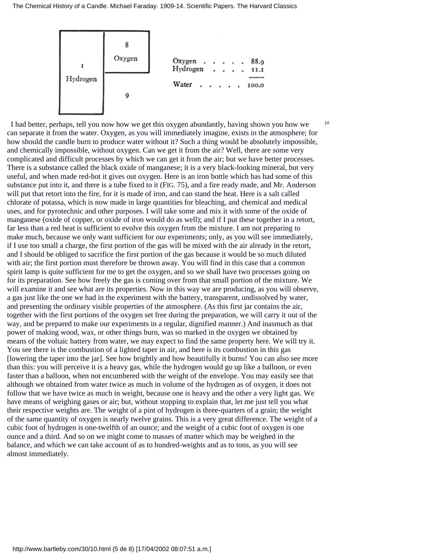

 *10*

 I had better, perhaps, tell you now how we get this oxygen abundantly, having shown you how we can separate it from the water. Oxygen, as you will immediately imagine, exists in the atmosphere; for how should the candle burn to produce water without it? Such a thing would be absolutely impossible, and chemically impossible, without oxygen. Can we get it from the air? Well, there are some very complicated and difficult processes by which we can get it from the air; but we have better processes. There is a substance called the black oxide of manganese; it is a very black-looking mineral, but very useful, and when made red-hot it gives out oxygen. Here is an iron bottle which has had some of this substance put into it, and there is a tube fixed to it (FIG. 75), and a fire ready made, and Mr. Anderson will put that retort into the fire, for it is made of iron, and can stand the heat. Here is a salt called chlorate of potassa, which is now made in large quantities for bleaching, and chemical and medical uses, and for pyrotechnic and other purposes. I will take some and mix it with some of the oxide of manganese (oxide of copper, or oxide of iron would do as well); and if I put these together in a retort, far less than a red heat is sufficient to evolve this oxygen from the mixture. I am not preparing to make much, because we only want sufficient for our experiments; only, as you will see immediately, if I use too small a charge, the first portion of the gas will be mixed with the air already in the retort, and I should be obliged to sacrifice the first portion of the gas because it would be so much diluted with air; the first portion must therefore be thrown away. You will find in this case that a common spirit lamp is quite sufficient for me to get the oxygen, and so we shall have two processes going on for its preparation. See how freely the gas is coming over from that small portion of the mixture. We will examine it and see what are its properties. Now in this way we are producing, as you will observe, a gas just like the one we had in the experiment with the battery, transparent, undissolved by water, and presenting the ordinary visible properties of the atmosphere. (As this first jar contains the air, together with the first portions of the oxygen set free during the preparation, we will carry it out of the way, and be prepared to make our experiments in a regular, dignified manner.) And inasmuch as that power of making wood, wax, or other things burn, was so marked in the oxygen we obtained by means of the voltaic battery from water, we may expect to find the same property here. We will try it. You see there is the combustion of a lighted taper in air, and here is its combustion in this gas [lowering the taper into the jar]. See how brightly and how beautifully it burns! You can also see more than this: you will perceive it is a heavy gas, while the hydrogen would go up like a balloon, or even faster than a balloon, when not encumbered with the weight of the envelope. You may easily see that although we obtained from water twice as much in volume of the hydrogen as of oxygen, it does not follow that we have twice as much in weight, because one is heavy and the other a very light gas. We have means of weighing gases or air; but, without stopping to explain that, let me just tell you what their respective weights are. The weight of a pint of hydrogen is three-quarters of a grain; the weight of the same quantity of oxygen is nearly twelve grains. This is a very great difference. The weight of a cubic foot of hydrogen is one-twelfth of an ounce; and the weight of a cubic foot of oxygen is one ounce and a third. And so on we might come to masses of matter which may be weighed in the balance, and which we can take account of as to hundred-weights and as to tons, as you will see almost immediately.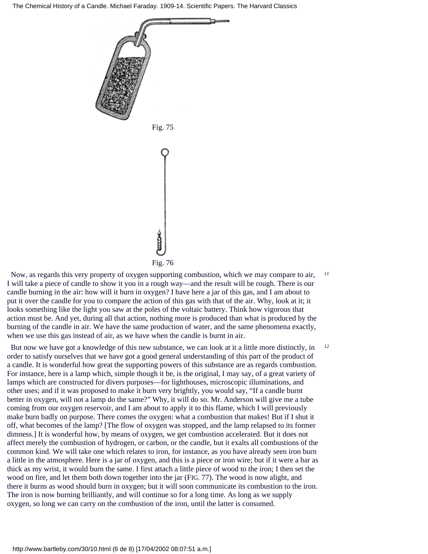





 Now, as regards this very property of oxygen supporting combustion, which we may compare to air, I will take a piece of candle to show it you in a rough way—and the result will be rough. There is our candle burning in the air: how will it burn in oxygen? I have here a jar of this gas, and I am about to put it over the candle for you to compare the action of this gas with that of the air. Why, look at it; it looks something like the light you saw at the poles of the voltaic battery. Think how vigorous that action must be. And yet, during all that action, nothing more is produced than what is produced by the burning of the candle in air. We have the same production of water, and the same phenomena exactly, when we use this gas instead of air, as we have when the candle is burnt in air.  *11*

 *12*

 But now we have got a knowledge of this new substance, we can look at it a little more distinctly, in order to satisfy ourselves that we have got a good general understanding of this part of the product of a candle. It is wonderful how great the supporting powers of this substance are as regards combustion. For instance, here is a lamp which, simple though it be, is the original, I may say, of a great variety of lamps which are constructed for divers purposes—for lighthouses, microscopic illuminations, and other uses; and if it was proposed to make it burn very brightly, you would say, "If a candle burnt better in oxygen, will not a lamp do the same?" Why, it will do so. Mr. Anderson will give me a tube coming from our oxygen reservoir, and I am about to apply it to this flame, which I will previously make burn badly on purpose. There comes the oxygen: what a combustion that makes! But if I shut it off, what becomes of the lamp? [The flow of oxygen was stopped, and the lamp relapsed to its former dimness.] It is wonderful how, by means of oxygen, we get combustion accelerated. But it does not affect merely the combustion of hydrogen, or carbon, or the candle, but it exalts all combustions of the common kind. We will take one which relates to iron, for instance, as you have already seen iron burn a little in the atmosphere. Here is a jar of oxygen, and this is a piece or iron wire; but if it were a bar as thick as my wrist, it would burn the same. I first attach a little piece of wood to the iron; I then set the wood on fire, and let them both down together into the jar (FIG. 77). The wood is now alight, and there it burns as wood should burn in oxygen; but it will soon communicate its combustion to the iron. The iron is now burning brilliantly, and will continue so for a long time. As long as we supply oxygen, so long we can carry on the combustion of the iron, until the latter is consumed.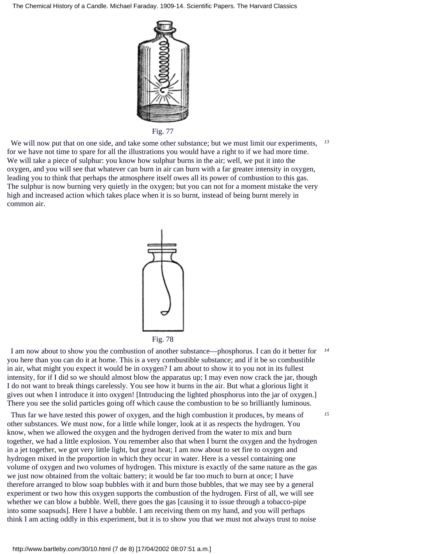

Fig. 77

 We will now put that on one side, and take some other substance; but we must limit our experiments,  *13* for we have not time to spare for all the illustrations you would have a right to if we had more time. We will take a piece of sulphur: you know how sulphur burns in the air; well, we put it into the oxygen, and you will see that whatever can burn in air can burn with a far greater intensity in oxygen, leading you to think that perhaps the atmosphere itself owes all its power of combustion to this gas. The sulphur is now burning very quietly in the oxygen; but you can not for a moment mistake the very high and increased action which takes place when it is so burnt, instead of being burnt merely in common air.



 I am now about to show you the combustion of another substance—phosphorus. I can do it better for you here than you can do it at home. This is a very combustible substance; and if it be so combustible in air, what might you expect it would be in oxygen? I am about to show it to you not in its fullest intensity, for if I did so we should almost blow the apparatus up; I may even now crack the jar, though I do not want to break things carelessly. You see how it burns in the air. But what a glorious light it gives out when I introduce it into oxygen! [Introducing the lighted phosphorus into the jar of oxygen.] There you see the solid particles going off which cause the combustion to be so brilliantly luminous.  *14*

 *15*

 Thus far we have tested this power of oxygen, and the high combustion it produces, by means of other substances. We must now, for a little while longer, look at it as respects the hydrogen. You know, when we allowed the oxygen and the hydrogen derived from the water to mix and burn together, we had a little explosion. You remember also that when I burnt the oxygen and the hydrogen in a jet together, we got very little light, but great heat; I am now about to set fire to oxygen and hydrogen mixed in the proportion in which they occur in water. Here is a vessel containing one volume of oxygen and two volumes of hydrogen. This mixture is exactly of the same nature as the gas we just now obtained from the voltaic battery; it would be far too much to burn at once; I have therefore arranged to blow soap bubbles with it and burn those bubbles, that we may see by a general experiment or two how this oxygen supports the combustion of the hydrogen. First of all, we will see whether we can blow a bubble. Well, there goes the gas [causing it to issue through a tobacco-pipe into some soapsuds]. Here I have a bubble. I am receiving them on my hand, and you will perhaps think I am acting oddly in this experiment, but it is to show you that we must not always trust to noise

http://www.bartleby.com/30/10.html (7 de 8) [17/04/2002 08:07:51 a.m.]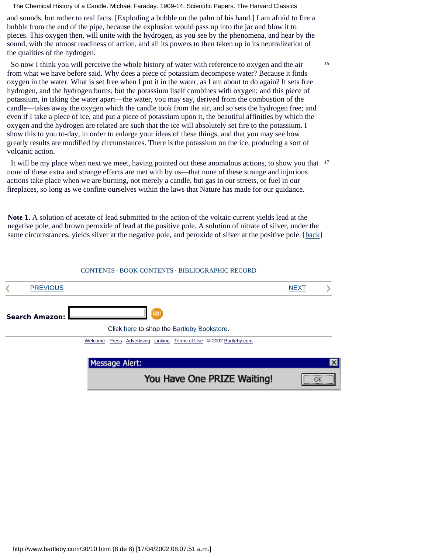<span id="page-32-0"></span>and sounds, but rather to real facts. [Exploding a bubble on the palm of his hand.] I am afraid to fire a bubble from the end of the pipe, because the explosion would pass up into the jar and blow it to pieces. This oxygen then, will unite with the hydrogen, as you see by the phenomena, and hear by the sound, with the utmost readiness of action, and all its powers to then taken up in its neutralization of the qualities of the hydrogen.

 *16*

 So now I think you will perceive the whole history of water with reference to oxygen and the air from what we have before said. Why does a piece of potassium decompose water? Because it finds oxygen in the water. What is set free when I put it in the water, as I am about to do again? It sets free hydrogen, and the hydrogen burns; but the potassium itself combines with oxygen; and this piece of potassium, in taking the water apart—the water, you may say, derived from the combustion of the candle—takes away the oxygen which the candle took from the air, and so sets the hydrogen free; and even if I take a piece of ice, and put a piece of potassium upon it, the beautiful affinities by which the oxygen and the hydrogen are related are such that the ice will absolutely set fire to the potassium. I show this to you to-day, in order to enlarge your ideas of these things, and that you may see how greatly results are modified by circumstances. There is the potassium on the ice, producing a sort of volcanic action.

 It will be my place when next we meet, having pointed out these anomalous actions, to show you that  *17* none of these extra and strange effects are met with by us—that none of these strange and injurious actions take place when we are burning, not merely a candle, but gas in our streets, or fuel in our fireplaces, so long as we confine ourselves within the laws that Nature has made for our guidance.

**Note 1.** A solution of acetate of lead submitted to the action of the voltaic current yields lead at the negative pole, and brown peroxide of lead at the positive pole. A solution of nitrate of silver, under the same circumstances, yields silver at the negative pole, and peroxide of silver at the positive pole. [\[back\]](#page-25-2)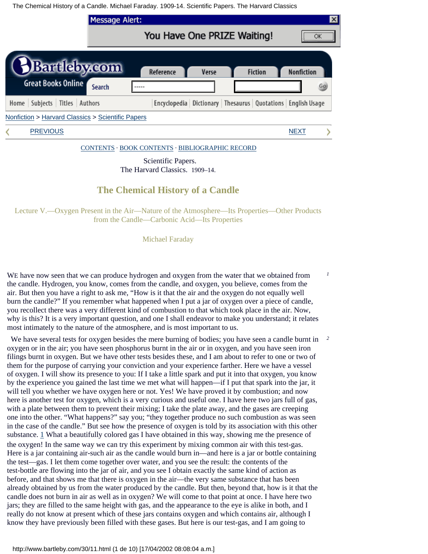## <span id="page-33-3"></span><span id="page-33-1"></span>Lecture V.—Oxygen Present in the Air—Nature of the Atmosphere—Its Properties—Other Products from the Candle—Carbonic Acid—Its Properties

## Michael Faraday

 *1*

WE have now seen that we can produce hydrogen and oxygen from the water that we obtained from the candle. Hydrogen, you know, comes from the candle, and oxygen, you believe, comes from the air. But then you have a right to ask me, "How is it that the air and the oxygen do not equally well burn the candle?" If you remember what happened when I put a jar of oxygen over a piece of candle, you recollect there was a very different kind of combustion to that which took place in the air. Now, why is this? It is a very important question, and one I shall endeavor to make you understand; it relates most intimately to the nature of the atmosphere, and is most important to us.

<span id="page-33-2"></span><span id="page-33-0"></span> We have several tests for oxygen besides the mere burning of bodies; you have seen a candle burnt in  *2* oxygen or in the air; you have seen phosphorus burnt in the air or in oxygen, and you have seen iron filings burnt in oxygen. But we have other tests besides these, and I am about to refer to one or two of them for the purpose of carrying your conviction and your experience farther. Here we have a vessel of oxygen. I will show its presence to you: If I take a little spark and put it into that oxygen, you know by the experience you gained the last time we met what will happen—if I put that spark into the jar, it will tell you whether we have oxygen here or not. Yes! We have proved it by combustion; and now here is another test for oxygen, which is a very curious and useful one. I have here two jars full of gas, with a plate between them to prevent their mixing; I take the plate away, and the gases are creeping one into the other. "What happens?" say you; "they together produce no such combustion as was seen in the case of the candle." But see how the presence of oxygen is told by its association with this other substance. 1 What a beautifully colored gas I have obtained in this way, showing me the presence of the oxygen! In the same way we can try this experiment by mixing common air with this test-gas. Here is a jar containing air-such air as the candle would burn in—and here is a jar or bottle containing the test—gas. I let them come together over water, and you see the result: the contents of the test-bottle are flowing into the jar of air, and you see I obtain exactly the same kind of action as before, and that shows me that there is oxygen in the air—the very same substance that has been already obtained by us from the water produced by the candle. But then, beyond that, how is it that the candle does not burn in air as well as in oxygen? We will come to that point at once. I have here two jars; they are filled to the same height with gas, and the appearance to the eye is alike in both, and I really do not know at present which of these jars contains oxygen and which contains air, although I know they have previously been filled with these gases. But here is our test-gas, and I am going to Lecture V.—Oxygen Present in the Air—Nature of the Atmosphe<br>from the Candle—Carbonic Acid—Its I<br>more candle. Hydrogen, you know, comes from the candle, and oxygen from<br>Michael Faraday<br>Michael Faraday<br>Michael Faraday<br>Micha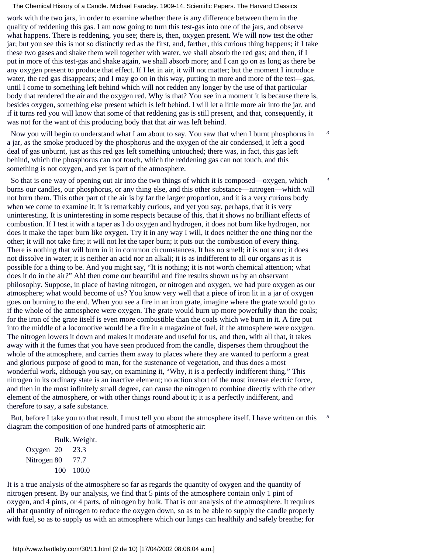work with the two jars, in order to examine whether there is any difference between them in the quality of reddening this gas. I am now going to turn this test-gas into one of the jars, and observe what happens. There is reddening, you see; there is, then, oxygen present. We will now test the other jar; but you see this is not so distinctly red as the first, and, farther, this curious thing happens; if I take these two gases and shake them well together with water, we shall absorb the red gas; and then, if I put in more of this test-gas and shake again, we shall absorb more; and I can go on as long as there be any oxygen present to produce that effect. If I let in air, it will not matter; but the moment I introduce water, the red gas disappears; and I may go on in this way, putting in more and more of the test—gas, until I come to something left behind which will not redden any longer by the use of that particular body that rendered the air and the oxygen red. Why is that? You see in a moment it is because there is, besides oxygen, something else present which is left behind. I will let a little more air into the jar, and if it turns red you will know that some of that reddening gas is still present, and that, consequently, it was not for the want of this producing body that that air was left behind.

 Now you will begin to understand what I am about to say. You saw that when I burnt phosphorus in a jar, as the smoke produced by the phosphorus and the oxygen of the air condensed, it left a good deal of gas unburnt, just as this red gas left something untouched; there was, in fact, this gas left behind, which the phosphorus can not touch, which the reddening gas can not touch, and this something is not oxygen, and yet is part of the atmosphere.

 *3*

 *4*

 *5*

 So that is one way of opening out air into the two things of which it is composed—oxygen, which burns our candles, our phosphorus, or any thing else, and this other substance—nitrogen—which will not burn them. This other part of the air is by far the larger proportion, and it is a very curious body when we come to examine it; it is remarkably curious, and yet you say, perhaps, that it is very uninteresting. It is uninteresting in some respects because of this, that it shows no brilliant effects of combustion. If I test it with a taper as I do oxygen and hydrogen, it does not burn like hydrogen, nor does it make the taper burn like oxygen. Try it in any way I will, it does neither the one thing nor the other; it will not take fire; it will not let the taper burn; it puts out the combustion of every thing. There is nothing that will burn in it in common circumstances. It has no smell; it is not sour; it does not dissolve in water; it is neither an acid nor an alkali; it is as indifferent to all our organs as it is possible for a thing to be. And you might say, "It is nothing; it is not worth chemical attention; what does it do in the air?" Ah! then come our beautiful and fine results shown us by an observant philosophy. Suppose, in place of having nitrogen, or nitrogen and oxygen, we had pure oxygen as our atmosphere; what would become of us? You know very well that a piece of iron lit in a jar of oxygen goes on burning to the end. When you see a fire in an iron grate, imagine where the grate would go to if the whole of the atmosphere were oxygen. The grate would burn up more powerfully than the coals; for the iron of the grate itself is even more combustible than the coals which we burn in it. A fire put into the middle of a locomotive would be a fire in a magazine of fuel, if the atmosphere were oxygen. The nitrogen lowers it down and makes it moderate and useful for us, and then, with all that, it takes away with it the fumes that you have seen produced from the candle, disperses them throughout the whole of the atmosphere, and carries them away to places where they are wanted to perform a great and glorious purpose of good to man, for the sustenance of vegetation, and thus does a most wonderful work, although you say, on examining it, "Why, it is a perfectly indifferent thing." This nitrogen in its ordinary state is an inactive element; no action short of the most intense electric force, and then in the most infinitely small degree, can cause the nitrogen to combine directly with the other element of the atmosphere, or with other things round about it; it is a perfectly indifferent, and therefore to say, a safe substance.

 But, before I take you to that result, I must tell you about the atmosphere itself. I have written on this diagram the composition of one hundred parts of atmospheric air:

Bulk. Weight. Oxygen 20 23.3 Nitrogen 80 77.7 100 100.0

It is a true analysis of the atmosphere so far as regards the quantity of oxygen and the quantity of nitrogen present. By our analysis, we find that 5 pints of the atmosphere contain only 1 pint of oxygen, and 4 pints, or 4 parts, of nitrogen by bulk. That is our analysis of the atmosphere. It requires all that quantity of nitrogen to reduce the oxygen down, so as to be able to supply the candle properly with fuel, so as to supply us with an atmosphere which our lungs can healthily and safely breathe; for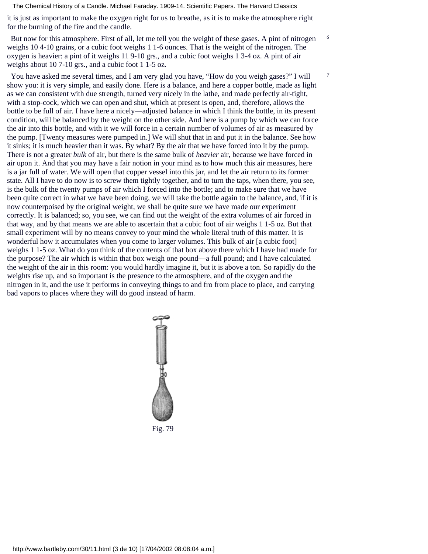it is just as important to make the oxygen right for us to breathe, as it is to make the atmosphere right for the burning of the fire and the candle.

 But now for this atmosphere. First of all, let me tell you the weight of these gases. A pint of nitrogen weighs 10 4-10 grains, or a cubic foot weighs 1 1-6 ounces. That is the weight of the nitrogen. The oxygen is heavier: a pint of it weighs 11 9-10 grs., and a cubic foot weighs 1 3-4 oz. A pint of air weighs about 10 7-10 grs., and a cubic foot 1 1-5 oz.

 *6*

 *7*

 You have asked me several times, and I am very glad you have, "How do you weigh gases?" I will show you: it is very simple, and easily done. Here is a balance, and here a copper bottle, made as light as we can consistent with due strength, turned very nicely in the lathe, and made perfectly air-tight, with a stop-cock, which we can open and shut, which at present is open, and, therefore, allows the bottle to be full of air. I have here a nicely—adjusted balance in which I think the bottle, in its present condition, will be balanced by the weight on the other side. And here is a pump by which we can force the air into this bottle, and with it we will force in a certain number of volumes of air as measured by the pump. [Twenty measures were pumped in.] We will shut that in and put it in the balance. See how it sinks; it is much heavier than it was. By what? By the air that we have forced into it by the pump. There is not a greater *bulk* of air, but there is the same bulk of *heavier* air, because we have forced in air upon it. And that you may have a fair notion in your mind as to how much this air measures, here is a jar full of water. We will open that copper vessel into this jar, and let the air return to its former state. All I have to do now is to screw them tightly together, and to turn the taps, when there, you see, is the bulk of the twenty pumps of air which I forced into the bottle; and to make sure that we have been quite correct in what we have been doing, we will take the bottle again to the balance, and, if it is now counterpoised by the original weight, we shall be quite sure we have made our experiment correctly. It is balanced; so, you see, we can find out the weight of the extra volumes of air forced in that way, and by that means we are able to ascertain that a cubic foot of air weighs 1 1-5 oz. But that small experiment will by no means convey to your mind the whole literal truth of this matter. It is wonderful how it accumulates when you come to larger volumes. This bulk of air [a cubic foot] weighs 1 1-5 oz. What do you think of the contents of that box above there which I have had made for the purpose? The air which is within that box weigh one pound—a full pound; and I have calculated the weight of the air in this room: you would hardly imagine it, but it is above a ton. So rapidly do the weights rise up, and so important is the presence to the atmosphere, and of the oxygen and the nitrogen in it, and the use it performs in conveying things to and fro from place to place, and carrying bad vapors to places where they will do good instead of harm.



Fig. 79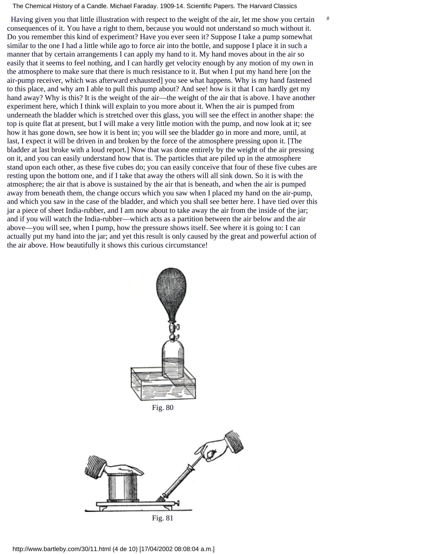*8*

 Having given you that little illustration with respect to the weight of the air, let me show you certain consequences of it. You have a right to them, because you would not understand so much without it. Do you remember this kind of experiment? Have you ever seen it? Suppose I take a pump somewhat similar to the one I had a little while ago to force air into the bottle, and suppose I place it in such a manner that by certain arrangements I can apply my hand to it. My hand moves about in the air so easily that it seems to feel nothing, and I can hardly get velocity enough by any motion of my own in the atmosphere to make sure that there is much resistance to it. But when I put my hand here [on the air-pump receiver, which was afterward exhausted] you see what happens. Why is my hand fastened to this place, and why am I able to pull this pump about? And see! how is it that I can hardly get my hand away? Why is this? It is the weight of the air—the weight of the air that is above. I have another experiment here, which I think will explain to you more about it. When the air is pumped from underneath the bladder which is stretched over this glass, you will see the effect in another shape: the top is quite flat at present, but I will make a very little motion with the pump, and now look at it; see how it has gone down, see how it is bent in; you will see the bladder go in more and more, until, at last, I expect it will be driven in and broken by the force of the atmosphere pressing upon it. [The bladder at last broke with a loud report.] Now that was done entirely by the weight of the air pressing on it, and you can easily understand how that is. The particles that are piled up in the atmosphere stand upon each other, as these five cubes do; you can easily conceive that four of these five cubes are resting upon the bottom one, and if I take that away the others will all sink down. So it is with the atmosphere; the air that is above is sustained by the air that is beneath, and when the air is pumped away from beneath them, the change occurs which you saw when I placed my hand on the air-pump, and which you saw in the case of the bladder, and which you shall see better here. I have tied over this jar a piece of sheet India-rubber, and I am now about to take away the air from the inside of the jar; and if you will watch the India-rubber—which acts as a partition between the air below and the air above—you will see, when I pump, how the pressure shows itself. See where it is going to: I can actually put my hand into the jar; and yet this result is only caused by the great and powerful action of the air above. How beautifully it shows this curious circumstance!





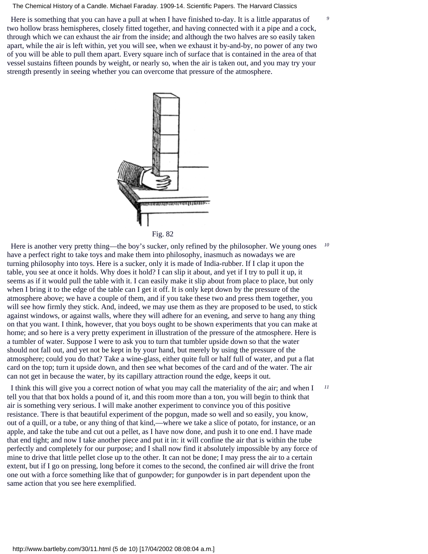Here is something that you can have a pull at when I have finished to-day. It is a little apparatus of two hollow brass hemispheres, closely fitted together, and having connected with it a pipe and a cock, through which we can exhaust the air from the inside; and although the two halves are so easily taken apart, while the air is left within, yet you will see, when we exhaust it by-and-by, no power of any two of you will be able to pull them apart. Every square inch of surface that is contained in the area of that vessel sustains fifteen pounds by weight, or nearly so, when the air is taken out, and you may try your strength presently in seeing whether you can overcome that pressure of the atmosphere.

 *9*

 *10*

 *11*





Here is another very pretty thing—the boy's sucker, only refined by the philosopher. We young ones have a perfect right to take toys and make them into philosophy, inasmuch as nowadays we are turning philosophy into toys. Here is a sucker, only it is made of India-rubber. If I clap it upon the table, you see at once it holds. Why does it hold? I can slip it about, and yet if I try to pull it up, it seems as if it would pull the table with it. I can easily make it slip about from place to place, but only when I bring it to the edge of the table can I get it off. It is only kept down by the pressure of the atmosphere above; we have a couple of them, and if you take these two and press them together, you will see how firmly they stick. And, indeed, we may use them as they are proposed to be used, to stick against windows, or against walls, where they will adhere for an evening, and serve to hang any thing on that you want. I think, however, that you boys ought to be shown experiments that you can make at home; and so here is a very pretty experiment in illustration of the pressure of the atmosphere. Here is a tumbler of water. Suppose I were to ask you to turn that tumbler upside down so that the water should not fall out, and yet not be kept in by your hand, but merely by using the pressure of the atmosphere; could you do that? Take a wine-glass, either quite full or half full of water, and put a flat card on the top; turn it upside down, and then see what becomes of the card and of the water. The air can not get in because the water, by its capillary attraction round the edge, keeps it out.

 I think this will give you a correct notion of what you may call the materiality of the air; and when I tell you that that box holds a pound of it, and this room more than a ton, you will begin to think that air is something very serious. I will make another experiment to convince you of this positive resistance. There is that beautiful experiment of the popgun, made so well and so easily, you know, out of a quill, or a tube, or any thing of that kind,—where we take a slice of potato, for instance, or an apple, and take the tube and cut out a pellet, as I have now done, and push it to one end. I have made that end tight; and now I take another piece and put it in: it will confine the air that is within the tube perfectly and completely for our purpose; and I shall now find it absolutely impossible by any force of mine to drive that little pellet close up to the other. It can not be done; I may press the air to a certain extent, but if I go on pressing, long before it comes to the second, the confined air will drive the front one out with a force something like that of gunpowder; for gunpowder is in part dependent upon the same action that you see here exemplified.

http://www.bartleby.com/30/11.html (5 de 10) [17/04/2002 08:08:04 a.m.]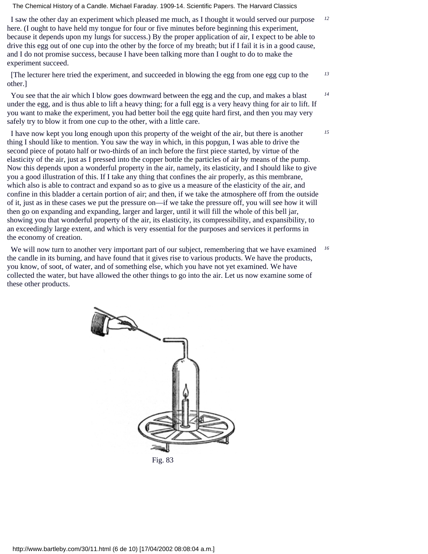I saw the other day an experiment which pleased me much, as I thought it would served our purpose here. (I ought to have held my tongue for four or five minutes before beginning this experiment, because it depends upon my lungs for success.) By the proper application of air, I expect to be able to drive this egg out of one cup into the other by the force of my breath; but if I fail it is in a good cause, and I do not promise success, because I have been talking more than I ought to do to make the experiment succeed.  *12*

 [The lecturer here tried the experiment, and succeeded in blowing the egg from one egg cup to the other.]  *13*

 You see that the air which I blow goes downward between the egg and the cup, and makes a blast under the egg, and is thus able to lift a heavy thing; for a full egg is a very heavy thing for air to lift. If you want to make the experiment, you had better boil the egg quite hard first, and then you may very safely try to blow it from one cup to the other, with a little care.

 I have now kept you long enough upon this property of the weight of the air, but there is another thing I should like to mention. You saw the way in which, in this popgun, I was able to drive the second piece of potato half or two-thirds of an inch before the first piece started, by virtue of the elasticity of the air, just as I pressed into the copper bottle the particles of air by means of the pump. Now this depends upon a wonderful property in the air, namely, its elasticity, and I should like to give you a good illustration of this. If I take any thing that confines the air properly, as this membrane, which also is able to contract and expand so as to give us a measure of the elasticity of the air, and confine in this bladder a certain portion of air; and then, if we take the atmosphere off from the outside of it, just as in these cases we put the pressure on—if we take the pressure off, you will see how it will then go on expanding and expanding, larger and larger, until it will fill the whole of this bell jar, showing you that wonderful property of the air, its elasticity, its compressibility, and expansibility, to an exceedingly large extent, and which is very essential for the purposes and services it performs in the economy of creation.

We will now turn to another very important part of our subject, remembering that we have examined the candle in its burning, and have found that it gives rise to various products. We have the products, you know, of soot, of water, and of something else, which you have not yet examined. We have collected the water, but have allowed the other things to go into the air. Let us now examine some of these other products.



 *14*

 *15*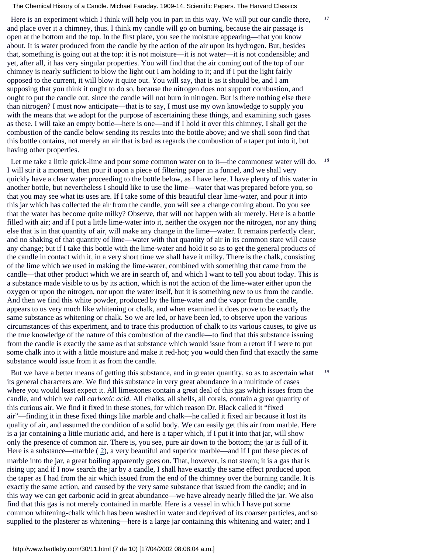Here is an experiment which I think will help you in part in this way. We will put our candle there, and place over it a chimney, thus. I think my candle will go on burning, because the air passage is open at the bottom and the top. In the first place, you see the moisture appearing—that you know about. It is water produced from the candle by the action of the air upon its hydrogen. But, besides that, something is going out at the top: it is not moisture—it is not water—it is not condensible; and yet, after all, it has very singular properties. You will find that the air coming out of the top of our chimney is nearly sufficient to blow the light out I am holding to it; and if I put the light fairly opposed to the current, it will blow it quite out. You will say, that is as it should be, and I am supposing that you think it ought to do so, because the nitrogen does not support combustion, and ought to put the candle out, since the candle will not burn in nitrogen. But is there nothing else there than nitrogen? I must now anticipate—that is to say, I must use my own knowledge to supply you with the means that we adopt for the purpose of ascertaining these things, and examining such gases as these. I will take an empty bottle—here is one—and if I hold it over this chimney, I shall get the combustion of the candle below sending its results into the bottle above; and we shall soon find that this bottle contains, not merely an air that is bad as regards the combustion of a taper put into it, but having other properties.

Let me take a little quick-lime and pour some common water on to it—the commonest water will do. <sup>18</sup> I will stir it a moment, then pour it upon a piece of filtering paper in a funnel, and we shall very quickly have a clear water proceeding to the bottle below, as I have here. I have plenty of this water in another bottle, but nevertheless I should like to use the lime—water that was prepared before you, so that you may see what its uses are. If I take some of this beautiful clear lime-water, and pour it into this jar which has collected the air from the candle, you will see a change coming about. Do you see that the water has become quite milky? Observe, that will not happen with air merely. Here is a bottle filled with air; and if I put a little lime-water into it, neither the oxygen nor the nitrogen, nor any thing else that is in that quantity of air, will make any change in the lime—water. It remains perfectly clear, and no shaking of that quantity of lime—water with that quantity of air in its common state will cause any change; but if I take this bottle with the lime-water and hold it so as to get the general products of the candle in contact with it, in a very short time we shall have it milky. There is the chalk, consisting of the lime which we used in making the lime-water, combined with something that came from the candle—that other product which we are in search of, and which I want to tell you about today. This is a substance made visible to us by its action, which is not the action of the lime-water either upon the oxygen or upon the nitrogen, nor upon the water itself, but it is something new to us from the candle. And then we find this white powder, produced by the lime-water and the vapor from the candle, appears to us very much like whitening or chalk, and when examined it does prove to be exactly the same substance as whitening or chalk. So we are led, or have been led, to observe upon the various circumstances of this experiment, and to trace this production of chalk to its various causes, to give us the true knowledge of the nature of this combustion of the candle—to find that this substance issuing from the candle is exactly the same as that substance which would issue from a retort if I were to put some chalk into it with a little moisture and make it red-hot; you would then find that exactly the same substance would issue from it as from the candle.

 But we have a better means of getting this substance, and in greater quantity, so as to ascertain what its general characters are. We find this substance in very great abundance in a multitude of cases where you would least expect it. All limestones contain a great deal of this gas which issues from the candle, and which we call *carbonic acid.* All chalks, all shells, all corals, contain a great quantity of this curious air. We find it fixed in these stones, for which reason Dr. Black called it "fixed air"—finding it in these fixed things like marble and chalk—he called it fixed air because it lost its quality of air, and assumed the condition of a solid body. We can easily get this air from marble. Here is a jar containing a little muriatic acid, and here is a taper which, if I put it into that jar, will show only the presence of common air. There is, you see, pure air down to the bottom; the jar is full of it. Here is a substance—marble ( 2), a very beautiful and superior marble—and if I put these pieces of marble into the jar, a great boiling apparently goes on. That, however, is not steam; it is a gas that is rising up; and if I now search the jar by a candle, I shall have exactly the same effect produced upon the taper as I had from the air which issued from the end of the chimney over the burning candle. It is exactly the same action, and caused by the very same substance that issued from the candle; and in this way we can get carbonic acid in great abundance—we have already nearly filled the jar. We also find that this gas is not merely contained in marble. Here is a vessel in which I have put some common whitening-chalk which has been washed in water and deprived of its coarser particles, and so supplied to the plasterer as whitening—here is a large jar containing this whitening and water; and I

 *17*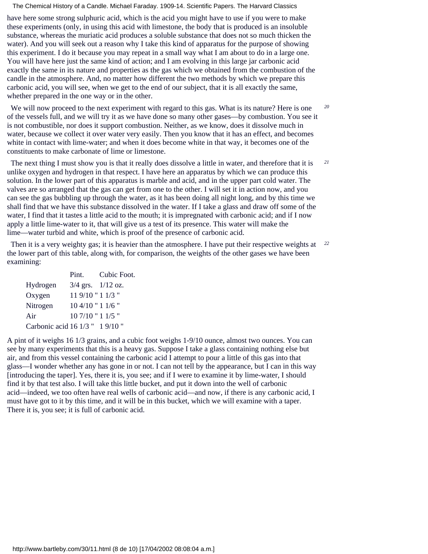have here some strong sulphuric acid, which is the acid you might have to use if you were to make these experiments (only, in using this acid with limestone, the body that is produced is an insoluble substance, whereas the muriatic acid produces a soluble substance that does not so much thicken the water). And you will seek out a reason why I take this kind of apparatus for the purpose of showing this experiment. I do it because you may repeat in a small way what I am about to do in a large one. You will have here just the same kind of action; and I am evolving in this large jar carbonic acid exactly the same in its nature and properties as the gas which we obtained from the combustion of the candle in the atmosphere. And, no matter how different the two methods by which we prepare this carbonic acid, you will see, when we get to the end of our subject, that it is all exactly the same, whether prepared in the one way or in the other.

We will now proceed to the next experiment with regard to this gas. What is its nature? Here is one of the vessels full, and we will try it as we have done so many other gases—by combustion. You see it is not combustible, nor does it support combustion. Neither, as we know, does it dissolve much in water, because we collect it over water very easily. Then you know that it has an effect, and becomes white in contact with lime-water; and when it does become white in that way, it becomes one of the constituents to make carbonate of lime or limestone.

 The next thing I must show you is that it really does dissolve a little in water, and therefore that it is unlike oxygen and hydrogen in that respect. I have here an apparatus by which we can produce this solution. In the lower part of this apparatus is marble and acid, and in the upper part cold water. The valves are so arranged that the gas can get from one to the other. I will set it in action now, and you can see the gas bubbling up through the water, as it has been doing all night long, and by this time we shall find that we have this substance dissolved in the water. If I take a glass and draw off some of the water, I find that it tastes a little acid to the mouth; it is impregnated with carbonic acid; and if I now apply a little lime-water to it, that will give us a test of its presence. This water will make the lime—water turbid and white, which is proof of the presence of carbonic acid.

 Then it is a very weighty gas; it is heavier than the atmosphere. I have put their respective weights at the lower part of this table, along with, for comparison, the weights of the other gases we have been examining:  *22*

|                                 | Pint.                 | Cubic Foot. |
|---------------------------------|-----------------------|-------------|
| Hydrogen                        | $3/4$ grs. $1/12$ oz. |             |
| Oxygen                          | 11 9/10 " 1 1/3 "     |             |
| Nitrogen                        | $104/10$ " $11/6$ "   |             |
| Air                             | 10 7/10 " 1 1/5 "     |             |
| Carbonic acid 16 1/3 " 1 9/10 " |                       |             |

A pint of it weighs 16 1/3 grains, and a cubic foot weighs 1-9/10 ounce, almost two ounces. You can see by many experiments that this is a heavy gas. Suppose I take a glass containing nothing else but air, and from this vessel containing the carbonic acid I attempt to pour a little of this gas into that glass—I wonder whether any has gone in or not. I can not tell by the appearance, but I can in this way [introducing the taper]. Yes, there it is, you see; and if I were to examine it by lime-water, I should find it by that test also. I will take this little bucket, and put it down into the well of carbonic acid—indeed, we too often have real wells of carbonic acid—and now, if there is any carbonic acid, I must have got to it by this time, and it will be in this bucket, which we will examine with a taper. There it is, you see; it is full of carbonic acid.

 *20*

 *21*

http://www.bartleby.com/30/11.html (8 de 10) [17/04/2002 08:08:04 a.m.]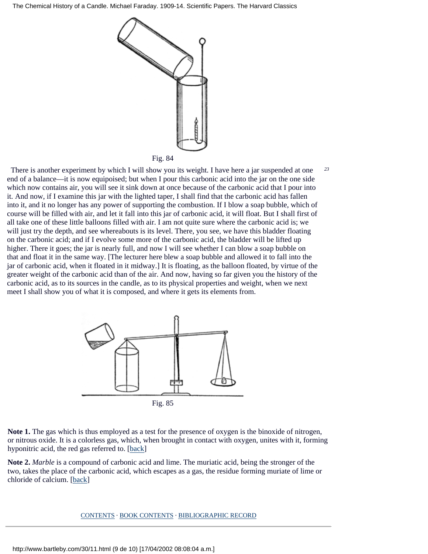

 There is another experiment by which I will show you its weight. I have here a jar suspended at one end of a balance—it is now equipoised; but when I pour this carbonic acid into the jar on the one side which now contains air, you will see it sink down at once because of the carbonic acid that I pour into it. And now, if I examine this jar with the lighted taper, I shall find that the carbonic acid has fallen into it, and it no longer has any power of supporting the combustion. If I blow a soap bubble, which of course will be filled with air, and let it fall into this jar of carbonic acid, it will float. But I shall first of all take one of these little balloons filled with air. I am not quite sure where the carbonic acid is; we will just try the depth, and see whereabouts is its level. There, you see, we have this bladder floating on the carbonic acid; and if I evolve some more of the carbonic acid, the bladder will be lifted up higher. There it goes; the jar is nearly full, and now I will see whether I can blow a soap bubble on that and float it in the same way. [The lecturer here blew a soap bubble and allowed it to fall into the jar of carbonic acid, when it floated in it midway.] It is floating, as the balloon floated, by virtue of the greater weight of the carbonic acid than of the air. And now, having so far given you the history of the carbonic acid, as to its sources in the candle, as to its physical properties and weight, when we next meet I shall show you of what it is composed, and where it gets its elements from.



**Note 1.** The gas which is thus employed as a test for the presence of oxygen is the binoxide of nitrogen, or nitrous oxide. It is a colorless gas, which, when brought in contact with oxygen, unites with it, forming hyponitric acid, the red gas referred to. [back]

**Note 2.** *Marble* is a compound of carbonic acid and lime. The muriatic acid, being the stronger of the two, takes the place of the carbonic acid, which escapes as a gas, the residue forming muriate of lime or chloride of calcium. [back]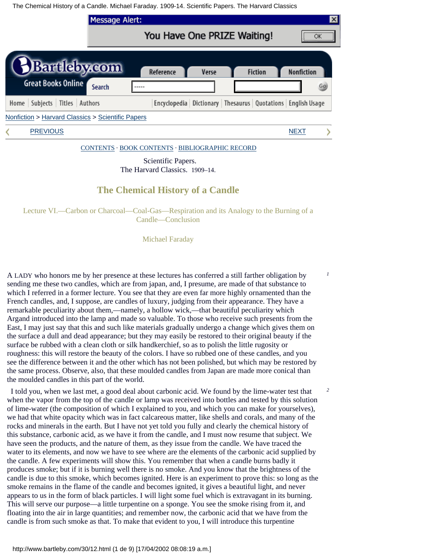## Lecture VI.—Carbon or Charcoal—Coal-Gas—Respiration and its Analogy to the Burning of a Candle—Conclusion

## Michael Faraday

 *1*

 *2*

A LADY who honors me by her presence at these lectures has conferred a still farther obligation by sending me these two candles, which are from japan, and, I presume, are made of that substance to which I referred in a former lecture. You see that they are even far more highly ornamented than the French candles, and, I suppose, are candles of luxury, judging from their appearance. They have a remarkable peculiarity about them,—namely, a hollow wick,—that beautiful peculiarity which Argand introduced into the lamp and made so valuable. To those who receive such presents from the East, I may just say that this and such like materials gradually undergo a change which gives them on the surface a dull and dead appearance; but they may easily be restored to their original beauty if the surface be rubbed with a clean cloth or silk handkerchief, so as to polish the little rugosity or roughness: this will restore the beauty of the colors. I have so rubbed one of these candles, and you see the difference between it and the other which has not been polished, but which may be restored by the same process. Observe, also, that these moulded candles from Japan are made more conical than the moulded candles in this part of the world.

<span id="page-42-0"></span> I told you, when we last met, a good deal about carbonic acid. We found by the lime-water test that when the vapor from the top of the candle or lamp was received into bottles and tested by this solution of lime-water (the composition of which I explained to you, and which you can make for yourselves), we had that white opacity which was in fact calcareous matter, like shells and corals, and many of the rocks and minerals in the earth. But I have not yet told you fully and clearly the chemical history of this substance, carbonic acid, as we have it from the candle, and I must now resume that subject. We have seen the products, and the nature of them, as they issue from the candle. We have traced the water to its elements, and now we have to see where are the elements of the carbonic acid supplied by the candle. A few experiments will show this. You remember that when a candle burns badly it produces smoke; but if it is burning well there is no smoke. And you know that the brightness of the candle is due to this smoke, which becomes ignited. Here is an experiment to prove this: so long as the smoke remains in the flame of the candle and becomes ignited, it gives a beautiful light, and never appears to us in the form of black particles. I will light some fuel which is extravagant in its burning. This will serve our purpose—a little turpentine on a sponge. You see the smoke rising from it, and floating into the air in large quantities; and remember now, the carbonic acid that we have from the candle is from such smoke as that. To make that evident to you, I will introduce this turpentine Lecture VI.—Carbon or Charcoal—Coal-Gas—Respiration an Cardle—Conclusion Michael Faraday Michael Faraday Michael Faraday Michael Faraday Michael Faraday Michael Faraday Michael Faraday Michael Faraday Michael Faraday Mich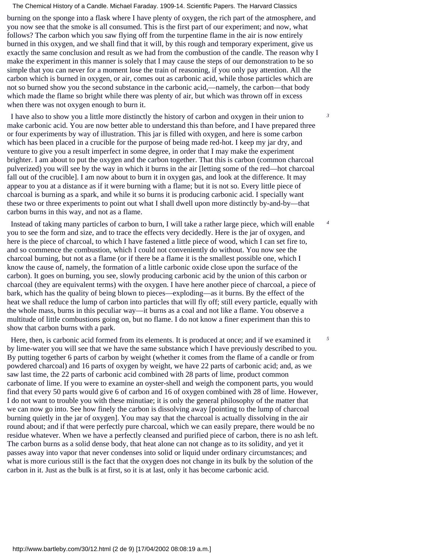burning on the sponge into a flask where I have plenty of oxygen, the rich part of the atmosphere, and you now see that the smoke is all consumed. This is the first part of our experiment; and now, what follows? The carbon which you saw flying off from the turpentine flame in the air is now entirely burned in this oxygen, and we shall find that it will, by this rough and temporary experiment, give us exactly the same conclusion and result as we had from the combustion of the candle. The reason why I make the experiment in this manner is solely that I may cause the steps of our demonstration to be so simple that you can never for a moment lose the train of reasoning, if you only pay attention. All the carbon which is burned in oxygen, or air, comes out as carbonic acid, while those particles which are not so burned show you the second substance in the carbonic acid,—namely, the carbon—that body which made the flame so bright while there was plenty of air, but which was thrown off in excess when there was not oxygen enough to burn it.

 I have also to show you a little more distinctly the history of carbon and oxygen in their union to make carbonic acid. You are now better able to understand this than before, and I have prepared three or four experiments by way of illustration. This jar is filled with oxygen, and here is some carbon which has been placed in a crucible for the purpose of being made red-hot. I keep my jar dry, and venture to give you a result imperfect in some degree, in order that I may make the experiment brighter. I am about to put the oxygen and the carbon together. That this is carbon (common charcoal pulverized) you will see by the way in which it burns in the air [letting some of the red—hot charcoal fall out of the crucible]. I am now about to burn it in oxygen gas, and look at the difference. It may appear to you at a distance as if it were burning with a flame; but it is not so. Every little piece of charcoal is burning as a spark, and while it so burns it is producing carbonic acid. I specially want these two or three experiments to point out what I shall dwell upon more distinctly by-and-by—that carbon burns in this way, and not as a flame.

 Instead of taking many particles of carbon to burn, I will take a rather large piece, which will enable you to see the form and size, and to trace the effects very decidedly. Here is the jar of oxygen, and here is the piece of charcoal, to which I have fastened a little piece of wood, which I can set fire to, and so commence the combustion, which I could not conveniently do without. You now see the charcoal burning, but not as a flame (or if there be a flame it is the smallest possible one, which I know the cause of, namely, the formation of a little carbonic oxide close upon the surface of the carbon). It goes on burning, you see, slowly producing carbonic acid by the union of this carbon or charcoal (they are equivalent terms) with the oxygen. I have here another piece of charcoal, a piece of bark, which has the quality of being blown to pieces—exploding—as it burns. By the effect of the heat we shall reduce the lump of carbon into particles that will fly off; still every particle, equally with the whole mass, burns in this peculiar way—it burns as a coal and not like a flame. You observe a multitude of little combustions going on, but no flame. I do not know a finer experiment than this to show that carbon burns with a park.

 Here, then, is carbonic acid formed from its elements. It is produced at once; and if we examined it by lime-water you will see that we have the same substance which I have previously described to you. By putting together 6 parts of carbon by weight (whether it comes from the flame of a candle or from powdered charcoal) and 16 parts of oxygen by weight, we have 22 parts of carbonic acid; and, as we saw last time, the 22 parts of carbonic acid combined with 28 parts of lime, product common carbonate of lime. If you were to examine an oyster-shell and weigh the component parts, you would find that every 50 parts would give 6 of carbon and 16 of oxygen combined with 28 of lime. However, I do not want to trouble you with these minutiae; it is only the general philosophy of the matter that we can now go into. See how finely the carbon is dissolving away [pointing to the lump of charcoal burning quietly in the jar of oxygen]. You may say that the charcoal is actually dissolving in the air round about; and if that were perfectly pure charcoal, which we can easily prepare, there would be no residue whatever. When we have a perfectly cleansed and purified piece of carbon, there is no ash left. The carbon burns as a solid dense body, that heat alone can not change as to its solidity, and yet it passes away into vapor that never condenses into solid or liquid under ordinary circumstances; and what is more curious still is the fact that the oxygen does not change in its bulk by the solution of the carbon in it. Just as the bulk is at first, so it is at last, only it has become carbonic acid.

 *3*

 *4*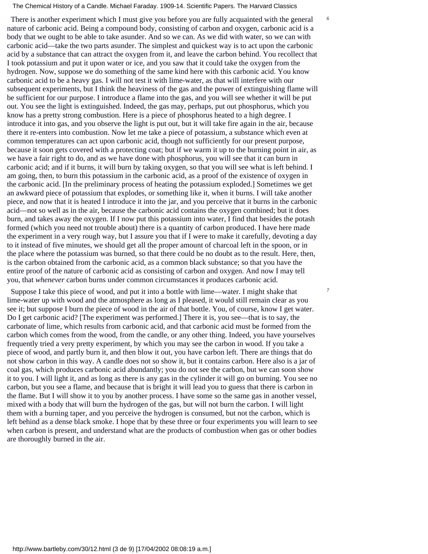There is another experiment which I must give you before you are fully acquainted with the general nature of carbonic acid. Being a compound body, consisting of carbon and oxygen, carbonic acid is a body that we ought to be able to take asunder. And so we can. As we did with water, so we can with carbonic acid—take the two parts asunder. The simplest and quickest way is to act upon the carbonic acid by a substance that can attract the oxygen from it, and leave the carbon behind. You recollect that I took potassium and put it upon water or ice, and you saw that it could take the oxygen from the hydrogen. Now, suppose we do something of the same kind here with this carbonic acid. You know carbonic acid to be a heavy gas. I will not test it with lime-water, as that will interfere with our subsequent experiments, but I think the heaviness of the gas and the power of extinguishing flame will be sufficient for our purpose. I introduce a flame into the gas, and you will see whether it will be put out. You see the light is extinguished. Indeed, the gas may, perhaps, put out phosphorus, which you know has a pretty strong combustion. Here is a piece of phosphorus heated to a high degree. I introduce it into gas, and you observe the light is put out, but it will take fire again in the air, because there it re-enters into combustion. Now let me take a piece of potassium, a substance which even at common temperatures can act upon carbonic acid, though not sufficiently for our present purpose, because it soon gets covered with a protecting coat; but if we warm it up to the burning point in air, as we have a fair right to do, and as we have done with phosphorus, you will see that it can burn in carbonic acid; and if it burns, it will burn by taking oxygen, so that you will see what is left behind. I am going, then, to burn this potassium in the carbonic acid, as a proof of the existence of oxygen in the carbonic acid. [In the preliminary process of heating the potassium exploded.] Sometimes we get an awkward piece of potassium that explodes, or something like it, when it burns. I will take another piece, and now that it is heated I introduce it into the jar, and you perceive that it burns in the carbonic acid—not so well as in the air, because the carbonic acid contains the oxygen combined; but it does burn, and takes away the oxygen. If I now put this potassium into water, I find that besides the potash formed (which you need not trouble about) there is a quantity of carbon produced. I have here made the experiment in a very rough way, but I assure you that if I were to make it carefully, devoting a day to it instead of five minutes, we should get all the proper amount of charcoal left in the spoon, or in the place where the potassium was burned, so that there could be no doubt as to the result. Here, then, is the carbon obtained from the carbonic acid, as a common black substance; so that you have the entire proof of the nature of carbonic acid as consisting of carbon and oxygen. And now I may tell you, that *whenever* carbon burns under common circumstances it produces carbonic acid.

 Suppose I take this piece of wood, and put it into a bottle with lime—water. I might shake that lime-water up with wood and the atmosphere as long as I pleased, it would still remain clear as you see it; but suppose I burn the piece of wood in the air of that bottle. You, of course, know I get water. Do I get carbonic acid? [The experiment was performed.] There it is, you see—that is to say, the carbonate of lime, which results from carbonic acid, and that carbonic acid must be formed from the carbon which comes from the wood, from the candle, or any other thing. Indeed, you have yourselves frequently tried a very pretty experiment, by which you may see the carbon in wood. If you take a piece of wood, and partly burn it, and then blow it out, you have carbon left. There are things that do not show carbon in this way. A candle does not so show it, but it contains carbon. Here also is a jar of coal gas, which produces carbonic acid abundantly; you do not see the carbon, but we can soon show it to you. I will light it, and as long as there is any gas in the cylinder it will go on burning. You see no carbon, but you see a flame, and because that is bright it will lead you to guess that there is carbon in the flame. But I will show it to you by another process. I have some so the same gas in another vessel, mixed with a body that will burn the hydrogen of the gas, but will not burn the carbon. I will light them with a burning taper, and you perceive the hydrogen is consumed, but not the carbon, which is left behind as a dense black smoke. I hope that by these three or four experiments you will learn to see when carbon is present, and understand what are the products of combustion when gas or other bodies are thoroughly burned in the air.

 *7*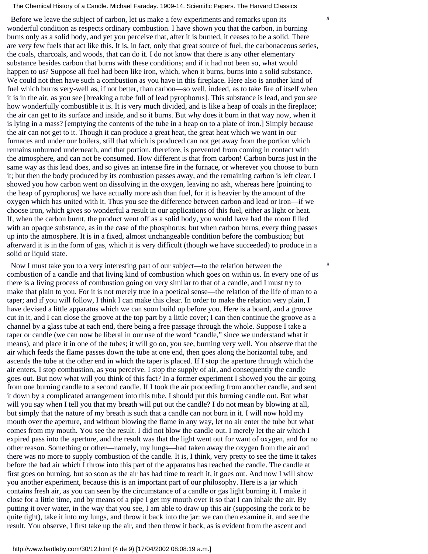*8*

 *9*

 Before we leave the subject of carbon, let us make a few experiments and remarks upon its wonderful condition as respects ordinary combustion. I have shown you that the carbon, in burning burns only as a solid body, and yet you perceive that, after it is burned, it ceases to be a solid. There are very few fuels that act like this. It is, in fact, only that great source of fuel, the carbonaceous series, the coals, charcoals, and woods, that can do it. I do not know that there is any other elementary substance besides carbon that burns with these conditions; and if it had not been so, what would happen to us? Suppose all fuel had been like iron, which, when it burns, burns into a solid substance. We could not then have such a combustion as you have in this fireplace. Here also is another kind of fuel which burns very-well as, if not better, than carbon—so well, indeed, as to take fire of itself when it is in the air, as you see [breaking a tube full of lead pyrophorus]. This substance is lead, and you see how wonderfully combustible it is. It is very much divided, and is like a heap of coals in the fireplace; the air can get to its surface and inside, and so it burns. But why does it burn in that way now, when it is lying in a mass? [emptying the contents of the tube in a heap on to a plate of iron.] Simply because the air can not get to it. Though it can produce a great heat, the great heat which we want in our furnaces and under our boilers, still that which is produced can not get away from the portion which remains unburned underneath, and that portion, therefore, is prevented from coming in contact with the atmosphere, and can not be consumed. How different is that from carbon! Carbon burns just in the same way as this lead does, and so gives an intense fire in the furnace, or wherever you choose to burn it; but then the body produced by its combustion passes away, and the remaining carbon is left clear. I showed you how carbon went on dissolving in the oxygen, leaving no ash, whereas here [pointing to the heap of pyrophorus] we have actually more ash than fuel, for it is heavier by the amount of the oxygen which has united with it. Thus you see the difference between carbon and lead or iron—if we choose iron, which gives so wonderful a result in our applications of this fuel, either as light or heat. If, when the carbon burnt, the product went off as a solid body, you would have had the room filled with an opaque substance, as in the case of the phosphorus; but when carbon burns, every thing passes up into the atmosphere. It is in a fixed, almost unchangeable condition before the combustion; but afterward it is in the form of gas, which it is very difficult (though we have succeeded) to produce in a solid or liquid state.

 Now I must take you to a very interesting part of our subject—to the relation between the combustion of a candle and that living kind of combustion which goes on within us. In every one of us there is a living process of combustion going on very similar to that of a candle, and I must try to make that plain to you. For it is not merely true in a poetical sense—the relation of the life of man to a taper; and if you will follow, I think I can make this clear. In order to make the relation very plain, I have devised a little apparatus which we can soon build up before you. Here is a board, and a groove cut in it, and I can close the groove at the top part by a little cover; I can then continue the groove as a channel by a glass tube at each end, there being a free passage through the whole. Suppose I take a taper or candle (we can now be liberal in our use of the word "candle," since we understand what it means), and place it in one of the tubes; it will go on, you see, burning very well. You observe that the air which feeds the flame passes down the tube at one end, then goes along the horizontal tube, and ascends the tube at the other end in which the taper is placed. If I stop the aperture through which the air enters, I stop combustion, as you perceive. I stop the supply of air, and consequently the candle goes out. But now what will you think of this fact? In a former experiment I showed you the air going from one burning candle to a second candle. If I took the air proceeding from another candle, and sent it down by a complicated arrangement into this tube, I should put this burning candle out. But what will you say when I tell you that my breath will put out the candle? I do not mean by blowing at all, but simply that the nature of my breath is such that a candle can not burn in it. I will now hold my mouth over the aperture, and without blowing the flame in any way, let no air enter the tube but what comes from my mouth. You see the result. I did not blow the candle out. I merely let the air which I expired pass into the aperture, and the result was that the light went out for want of oxygen, and for no other reason. Something or other—namely, my lungs—had taken away the oxygen from the air and there was no more to supply combustion of the candle. It is, I think, very pretty to see the time it takes before the bad air which I throw into this part of the apparatus has reached the candle. The candle at first goes on burning, but so soon as the air has had time to reach it, it goes out. And now I will show you another experiment, because this is an important part of our philosophy. Here is a jar which contains fresh air, as you can seen by the circumstance of a candle or gas light burning it. I make it close for a little time, and by means of a pipe I get my mouth over it so that I can inhale the air. By putting it over water, in the way that you see, I am able to draw up this air (supposing the cork to be quite tight), take it into my lungs, and throw it back into the jar: we can then examine it, and see the result. You observe, I first take up the air, and then throw it back, as is evident from the ascent and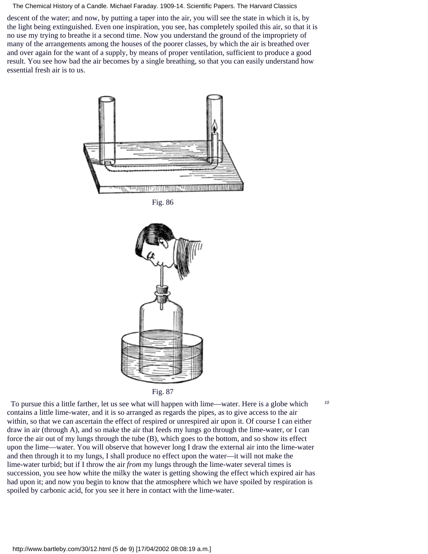descent of the water; and now, by putting a taper into the air, you will see the state in which it is, by the light being extinguished. Even one inspiration, you see, has completely spoiled this air, so that it is no use my trying to breathe it a second time. Now you understand the ground of the impropriety of many of the arrangements among the houses of the poorer classes, by which the air is breathed over and over again for the want of a supply, by means of proper ventilation, sufficient to produce a good result. You see how bad the air becomes by a single breathing, so that you can easily understand how essential fresh air is to us.







 To pursue this a little farther, let us see what will happen with lime—water. Here is a globe which contains a little lime-water, and it is so arranged as regards the pipes, as to give access to the air within, so that we can ascertain the effect of respired or unrespired air upon it. Of course I can either draw in air (through A), and so make the air that feeds my lungs go through the lime-water, or I can force the air out of my lungs through the tube (B), which goes to the bottom, and so show its effect upon the lime—water. You will observe that however long I draw the external air into the lime-water and then through it to my lungs, I shall produce no effect upon the water—it will not make the lime-water turbid; but if I throw the air *from* my lungs through the lime-water several times is succession, you see how white the milky the water is getting showing the effect which expired air has had upon it; and now you begin to know that the atmosphere which we have spoiled by respiration is spoiled by carbonic acid, for you see it here in contact with the lime-water.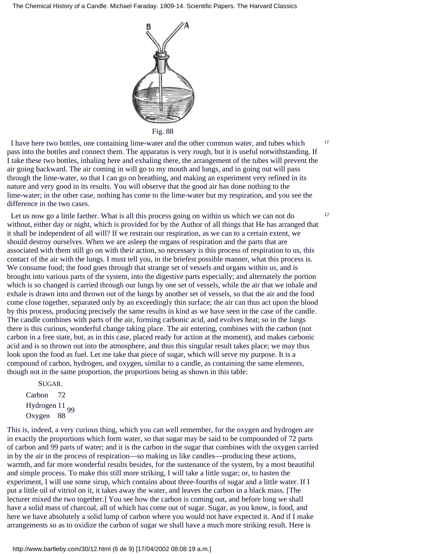

Fig. 88

 I have here two bottles, one containing lime-water and the other common water, and tubes which pass into the bottles and connect them. The apparatus is very rough, but it is useful notwithstanding. If I take these two bottles, inhaling here and exhaling there, the arrangement of the tubes will prevent the air going backward. The air coming in will go to my mouth and lungs, and in going out will pass through the lime-water, so that I can go on breathing, and making an experiment very refined in its nature and very good in its results. You will observe that the good air has done nothing to the lime-water; in the other case, nothing has come to the lime-water but my respiration, and you see the difference in the two cases.

 Let us now go a little farther. What is all this process going on within us which we can not do without, either day or night, which is provided for by the Author of all things that He has arranged that it shall be independent of all will? If we restrain our respiration, as we can to a certain extent, we should destroy ourselves. When we are asleep the organs of respiration and the parts that are associated with them still go on with their action, so necessary is this process of respiration to us, this contact of the air with the lungs. I must tell you, in the briefest possible manner, what this process is. We consume food; the food goes through that strange set of vessels and organs within us, and is brought into various parts of the system, into the digestive parts especially; and alternately the portion which is so changed is carried through our lungs by one set of vessels, while the air that we inhale and exhale is drawn into and thrown out of the lungs by another set of vessels, so that the air and the food come close together, separated only by an exceedingly thin surface; the air can thus act upon the blood by this process, producing precisely the same results in kind as we have seen in the case of the candle. The candle combines with parts of the air, forming carbonic acid, and evolves heat; so in the lungs there is this curious, wonderful change taking place. The air entering, combines with the carbon (not carbon in a free state, but, as in this case, placed ready for action at the moment), and makes carbonic acid and is so thrown out into the atmosphere, and thus this singular result takes place; we may thus look upon the food as fuel. Let me take that piece of sugar, which will serve my purpose. It is a compound of carbon, hydrogen, and oxygen, similar to a candle, as containing the same elements, though not in the same proportion, the proportions being as shown in this table:

 SUGAR. Carbon 72 Hydrogen  $11_{99}$ Oxygen 88

This is, indeed, a very curious thing, which you can well remember, for the oxygen and hydrogen are in exactly the proportions which form water, so that sugar may be said to be compounded of 72 parts of carbon and 99 parts of water; and it is the carbon in the sugar that combines with the oxygen carried in by the air in the process of respiration—so making us like candles—producing these actions, warmth, and far more wonderful results besides, for the sustenance of the system, by a most beautiful and simple process. To make this still more striking, I will take a little sugar; or, to hasten the experiment, I will use some sirup, which contains about three-fourths of sugar and a little water. If I put a little oil of vitriol on it, it takes away the water, and leaves the carbon in a black mass. [The lecturer mixed the two together.] You see how the carbon is coming out, and before long we shall have a solid mass of charcoal, all of which has come out of sugar. Sugar, as you know, is food, and here we have absolutely a solid lump of carbon where you would not have expected it. And if I make arrangements so as to oxidize the carbon of sugar we shall have a much more striking result. Here is

http://www.bartleby.com/30/12.html (6 de 9) [17/04/2002 08:08:19 a.m.]

 *12*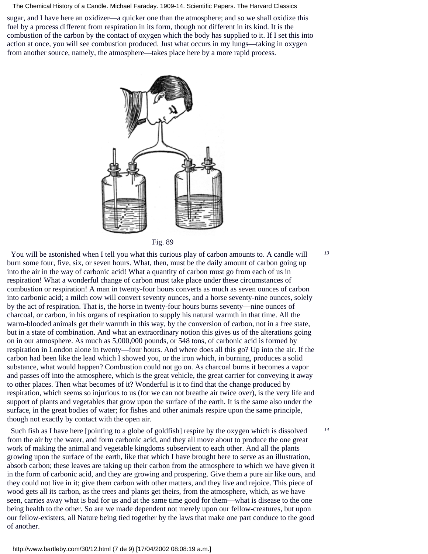sugar, and I have here an oxidizer—a quicker one than the atmosphere; and so we shall oxidize this fuel by a process different from respiration in its form, though not different in its kind. It is the combustion of the carbon by the contact of oxygen which the body has supplied to it. If I set this into action at once, you will see combustion produced. Just what occurs in my lungs—taking in oxygen from another source, namely, the atmosphere—takes place here by a more rapid process.



Fig. 89

 You will be astonished when I tell you what this curious play of carbon amounts to. A candle will burn some four, five, six, or seven hours. What, then, must be the daily amount of carbon going up into the air in the way of carbonic acid! What a quantity of carbon must go from each of us in respiration! What a wonderful change of carbon must take place under these circumstances of combustion or respiration! A man in twenty-four hours converts as much as seven ounces of carbon into carbonic acid; a milch cow will convert seventy ounces, and a horse seventy-nine ounces, solely by the act of respiration. That is, the horse in twenty-four hours burns seventy—nine ounces of charcoal, or carbon, in his organs of respiration to supply his natural warmth in that time. All the warm-blooded animals get their warmth in this way, by the conversion of carbon, not in a free state, but in a state of combination. And what an extraordinary notion this gives us of the alterations going on in our atmosphere. As much as 5,000,000 pounds, or 548 tons, of carbonic acid is formed by respiration in London alone in twenty—four hours. And where does all this go? Up into the air. If the carbon had been like the lead which I showed you, or the iron which, in burning, produces a solid substance, what would happen? Combustion could not go on. As charcoal burns it becomes a vapor and passes off into the atmosphere, which is the great vehicle, the great carrier for conveying it away to other places. Then what becomes of it? Wonderful is it to find that the change produced by respiration, which seems so injurious to us (for we can not breathe air twice over), is the very life and support of plants and vegetables that grow upon the surface of the earth. It is the same also under the surface, in the great bodies of water; for fishes and other animals respire upon the same principle, though not exactly by contact with the open air.

 Such fish as I have here [pointing to a globe of goldfish] respire by the oxygen which is dissolved from the air by the water, and form carbonic acid, and they all move about to produce the one great work of making the animal and vegetable kingdoms subservient to each other. And all the plants growing upon the surface of the earth, like that which I have brought here to serve as an illustration, absorb carbon; these leaves are taking up their carbon from the atmosphere to which we have given it in the form of carbonic acid, and they are growing and prospering. Give them a pure air like ours, and they could not live in it; give them carbon with other matters, and they live and rejoice. This piece of wood gets all its carbon, as the trees and plants get theirs, from the atmosphere, which, as we have seen, carries away what is bad for us and at the same time good for them—what is disease to the one being health to the other. So are we made dependent not merely upon our fellow-creatures, but upon our fellow-existers, all Nature being tied together by the laws that make one part conduce to the good of another.

 *13*